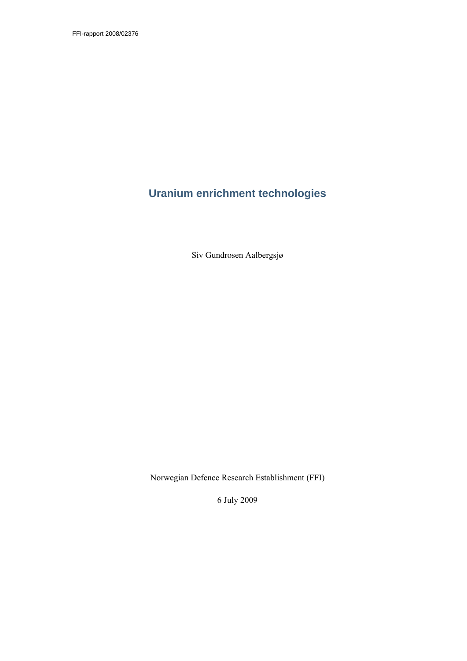FFI-rapport 2008/02376

# **Uranium enrichment technologies**

Siv Gundrosen Aalbergsjø

Norwegian Defence Research Establishment (FFI)

6 July 2009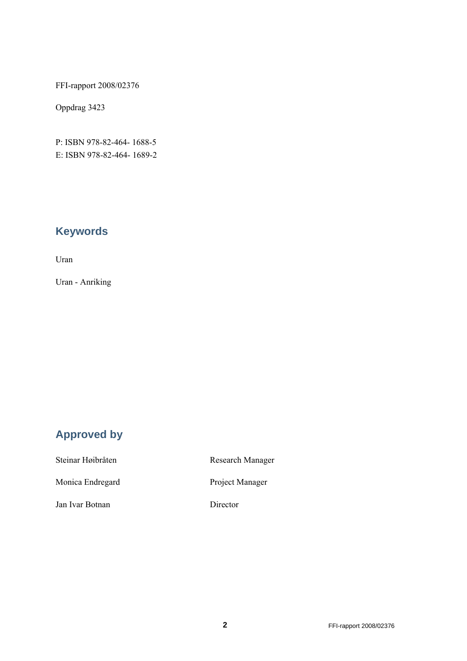FFI-rapport 2008/02376

Oppdrag 3423

P: ISBN 978-82-464- 1688-5 E: ISBN 978-82-464- 1689-2

# **Keywords**

Uran

Uran - Anriking

# **Approved by**

| Steinar Høibråten | <b>Research Manager</b> |  |
|-------------------|-------------------------|--|
| Monica Endregard  | Project Manager         |  |
| Jan Ivar Botnan   | Director                |  |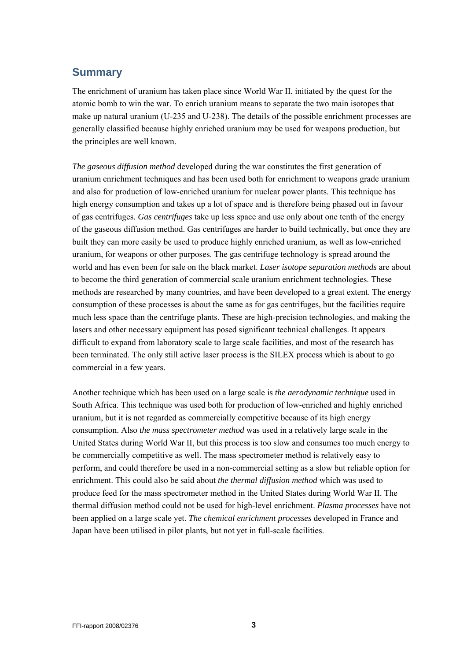# **Summary**

The enrichment of uranium has taken place since World War II, initiated by the quest for the atomic bomb to win the war. To enrich uranium means to separate the two main isotopes that make up natural uranium (U-235 and U-238). The details of the possible enrichment processes are generally classified because highly enriched uranium may be used for weapons production, but the principles are well known.

*The gaseous diffusion method* developed during the war constitutes the first generation of uranium enrichment techniques and has been used both for enrichment to weapons grade uranium and also for production of low-enriched uranium for nuclear power plants. This technique has high energy consumption and takes up a lot of space and is therefore being phased out in favour of gas centrifuges. *Gas centrifuges* take up less space and use only about one tenth of the energy of the gaseous diffusion method. Gas centrifuges are harder to build technically, but once they are built they can more easily be used to produce highly enriched uranium, as well as low-enriched uranium, for weapons or other purposes. The gas centrifuge technology is spread around the world and has even been for sale on the black market. *Laser isotope separation methods* are about to become the third generation of commercial scale uranium enrichment technologies. These methods are researched by many countries, and have been developed to a great extent. The energy consumption of these processes is about the same as for gas centrifuges, but the facilities require much less space than the centrifuge plants. These are high-precision technologies, and making the lasers and other necessary equipment has posed significant technical challenges. It appears difficult to expand from laboratory scale to large scale facilities, and most of the research has been terminated. The only still active laser process is the SILEX process which is about to go commercial in a few years.

Another technique which has been used on a large scale is *the aerodynamic technique* used in South Africa. This technique was used both for production of low-enriched and highly enriched uranium, but it is not regarded as commercially competitive because of its high energy consumption. Also *the mass spectrometer method* was used in a relatively large scale in the United States during World War II, but this process is too slow and consumes too much energy to be commercially competitive as well. The mass spectrometer method is relatively easy to perform, and could therefore be used in a non-commercial setting as a slow but reliable option for enrichment. This could also be said about *the thermal diffusion method* which was used to produce feed for the mass spectrometer method in the United States during World War II. The thermal diffusion method could not be used for high-level enrichment. *Plasma processes* have not been applied on a large scale yet. *The chemical enrichment processes* developed in France and Japan have been utilised in pilot plants, but not yet in full-scale facilities.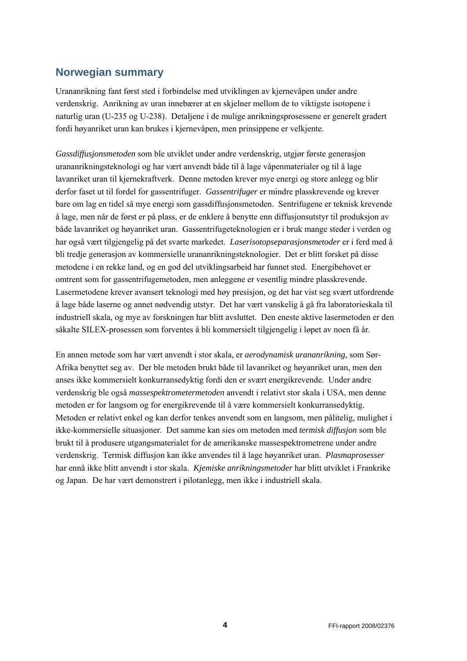# **Norwegian summary**

Urananrikning fant først sted i forbindelse med utviklingen av kjernevåpen under andre verdenskrig. Anrikning av uran innebærer at en skjelner mellom de to viktigste isotopene i naturlig uran (U-235 og U-238). Detaljene i de mulige anrikningsprosessene er generelt gradert fordi høyanriket uran kan brukes i kjernevåpen, men prinsippene er velkjente.

*Gassdiffusjonsmetoden* som ble utviklet under andre verdenskrig, utgjør første generasjon urananrikningsteknologi og har vært anvendt både til å lage våpenmaterialer og til å lage lavanriket uran til kjernekraftverk. Denne metoden krever mye energi og store anlegg og blir derfor faset ut til fordel for gassentrifuger. *Gassentrifuger* er mindre plasskrevende og krever bare om lag en tidel så mye energi som gassdiffusjonsmetoden. Sentrifugene er teknisk krevende å lage, men når de først er på plass, er de enklere å benytte enn diffusjonsutstyr til produksjon av både lavanriket og høyanriket uran. Gassentrifugeteknologien er i bruk mange steder i verden og har også vært tilgjengelig på det svarte markedet. *Laserisotopseparasjonsmetoder* er i ferd med å bli tredje generasjon av kommersielle urananrikningsteknologier. Det er blitt forsket på disse metodene i en rekke land, og en god del utviklingsarbeid har funnet sted. Energibehovet er omtrent som for gassentrifugemetoden, men anleggene er vesentlig mindre plasskrevende. Lasermetodene krever avansert teknologi med høy presisjon, og det har vist seg svært utfordrende å lage både laserne og annet nødvendig utstyr. Det har vært vanskelig å gå fra laboratorieskala til industriell skala, og mye av forskningen har blitt avsluttet. Den eneste aktive lasermetoden er den såkalte SILEX-prosessen som forventes å bli kommersielt tilgjengelig i løpet av noen få år.

En annen metode som har vært anvendt i stor skala, er *aerodynamisk urananrikning*, som Sør-Afrika benyttet seg av. Der ble metoden brukt både til lavanriket og høyanriket uran, men den anses ikke kommersielt konkurransedyktig fordi den er svært energikrevende. Under andre verdenskrig ble også *massespektrometermetoden* anvendt i relativt stor skala i USA, men denne metoden er for langsom og for energikrevende til å være kommersielt konkurransedyktig. Metoden er relativt enkel og kan derfor tenkes anvendt som en langsom, men pålitelig, mulighet i ikke-kommersielle situasjoner. Det samme kan sies om metoden med *termisk diffusjon* som ble brukt til å produsere utgangsmaterialet for de amerikanske massespektrometrene under andre verdenskrig. Termisk diffusjon kan ikke anvendes til å lage høyanriket uran. *Plasmaprosesser* har ennå ikke blitt anvendt i stor skala. *Kjemiske anrikningsmetoder* har blitt utviklet i Frankrike og Japan. De har vært demonstrert i pilotanlegg, men ikke i industriell skala.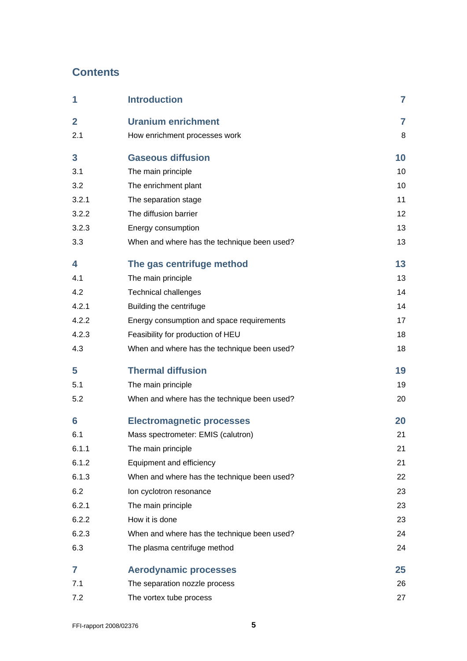# **Contents**

| 1              | <b>Introduction</b>                         | $\overline{7}$ |
|----------------|---------------------------------------------|----------------|
| $\overline{2}$ | <b>Uranium enrichment</b>                   | 7              |
| 2.1            | How enrichment processes work               | 8              |
| 3              | <b>Gaseous diffusion</b>                    | 10             |
| 3.1            | The main principle                          | 10             |
| 3.2            | The enrichment plant                        | 10             |
| 3.2.1          | The separation stage                        | 11             |
| 3.2.2          | The diffusion barrier                       | 12             |
| 3.2.3          | Energy consumption                          | 13             |
| 3.3            | When and where has the technique been used? | 13             |
| 4              | The gas centrifuge method                   | 13             |
| 4.1            | The main principle                          | 13             |
| 4.2            | <b>Technical challenges</b>                 | 14             |
| 4.2.1          | Building the centrifuge                     | 14             |
| 4.2.2          | Energy consumption and space requirements   | 17             |
| 4.2.3          | Feasibility for production of HEU           | 18             |
| 4.3            | When and where has the technique been used? | 18             |
| 5              | <b>Thermal diffusion</b>                    | 19             |
| 5.1            | The main principle                          | 19             |
| 5.2            | When and where has the technique been used? | 20             |
| 6              | <b>Electromagnetic processes</b>            | 20             |
| 6.1            | Mass spectrometer: EMIS (calutron)          | 21             |
| 6.1.1          | The main principle                          | 21             |
| 6.1.2          | Equipment and efficiency                    | 21             |
| 6.1.3          | When and where has the technique been used? | 22             |
| 6.2            | Ion cyclotron resonance                     | 23             |
| 6.2.1          | The main principle                          | 23             |
| 6.2.2          | How it is done                              | 23             |
| 6.2.3          | When and where has the technique been used? | 24             |
| 6.3            | The plasma centrifuge method                | 24             |
| 7              | <b>Aerodynamic processes</b>                | 25             |
| 7.1            | The separation nozzle process               | 26             |
| 7.2            | The vortex tube process                     | 27             |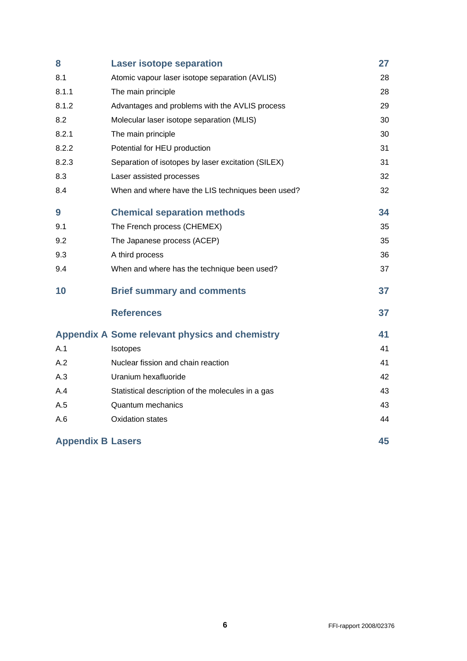| 8                                                     | <b>Laser isotope separation</b>                    | 27 |
|-------------------------------------------------------|----------------------------------------------------|----|
| 8.1                                                   | Atomic vapour laser isotope separation (AVLIS)     | 28 |
| 8.1.1                                                 | The main principle                                 | 28 |
| 8.1.2                                                 | Advantages and problems with the AVLIS process     | 29 |
| 8.2                                                   | Molecular laser isotope separation (MLIS)          | 30 |
| 8.2.1                                                 | The main principle                                 | 30 |
| 8.2.2                                                 | Potential for HEU production                       | 31 |
| 8.2.3                                                 | Separation of isotopes by laser excitation (SILEX) | 31 |
| 8.3                                                   | Laser assisted processes                           | 32 |
| 8.4                                                   | When and where have the LIS techniques been used?  | 32 |
| 9                                                     | <b>Chemical separation methods</b>                 | 34 |
| 9.1                                                   | The French process (CHEMEX)                        | 35 |
| 9.2                                                   | The Japanese process (ACEP)                        | 35 |
| 9.3                                                   | A third process                                    | 36 |
| 9.4                                                   | When and where has the technique been used?        | 37 |
| 10                                                    | <b>Brief summary and comments</b>                  | 37 |
|                                                       | <b>References</b>                                  | 37 |
| <b>Appendix A Some relevant physics and chemistry</b> |                                                    | 41 |
| A.1                                                   | Isotopes                                           | 41 |
| A.2                                                   | Nuclear fission and chain reaction                 | 41 |
| A.3                                                   | Uranium hexafluoride                               | 42 |
| A.4                                                   | Statistical description of the molecules in a gas  | 43 |
| A.5                                                   | <b>Quantum mechanics</b>                           | 43 |
| A.6                                                   | <b>Oxidation states</b>                            | 44 |
| <b>Appendix B Lasers</b>                              |                                                    | 45 |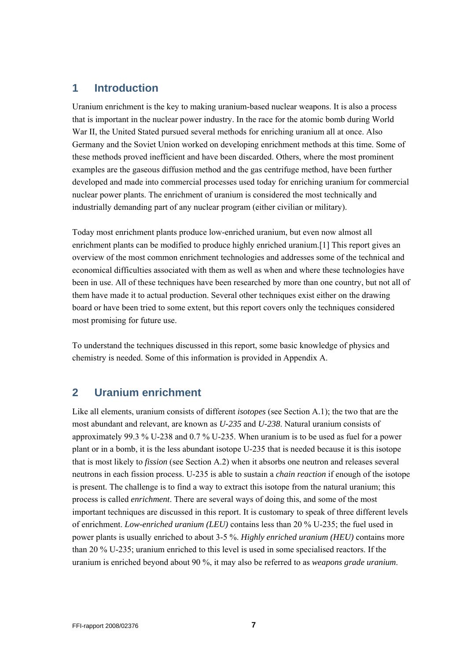# <span id="page-6-0"></span>**1 Introduction**

Uranium enrichment is the key to making uranium-based nuclear weapons. It is also a process that is important in the nuclear power industry. In the race for the atomic bomb during World War II, the United Stated pursued several methods for enriching uranium all at once. Also Germany and the Soviet Union worked on developing enrichment methods at this time. Some of these methods proved inefficient and have been discarded. Others, where the most prominent examples are the gaseous diffusion method and the gas centrifuge method, have been further developed and made into commercial processes used today for enriching uranium for commercial nuclear power plants. The enrichment of uranium is considered the most technically and industrially demanding part of any nuclear program (either civilian or military).

Today most enrichment plants produce low-enriched uranium, but even now almost all enrichment plants can be modified to produce highly enriched uranium.[1] This report gives an overview of the most common enrichment technologies and addresses some of the technical and economical difficulties associated with them as well as when and where these technologies have been in use. All of these techniques have been researched by more than one country, but not all of them have made it to actual production. Several other techniques exist either on the drawing board or have been tried to some extent, but this report covers only the techniques considered most promising for future use.

To understand the techniques discussed in this report, some basic knowledge of physics and chemistry is needed. Some of this information is provided in [Appendix A](#page-40-1).

# **2 Uranium enrichment**

Like all elements, uranium consists of different *isotopes* (see Section [A.1](#page-40-2)); the two that are the most abundant and relevant, are known as *U-235* and *U-238*. Natural uranium consists of approximately 99.3 % U-238 and 0.7 % U-235. When uranium is to be used as fuel for a power plant or in a bomb, it is the less abundant isotope U-235 that is needed because it is this isotope that is most likely to *fission* (see Section [A.2\)](#page-40-3) when it absorbs one neutron and releases several neutrons in each fission process. U-235 is able to sustain a *chain reaction* if enough of the isotope is present. The challenge is to find a way to extract this isotope from the natural uranium; this process is called *enrichment*. There are several ways of doing this, and some of the most important techniques are discussed in this report. It is customary to speak of three different levels of enrichment. *Low-enriched uranium (LEU)* contains less than 20 % U-235; the fuel used in power plants is usually enriched to about 3-5 %. *Highly enriched uranium (HEU)* contains more than 20 % U-235; uranium enriched to this level is used in some specialised reactors. If the uranium is enriched beyond about 90 %, it may also be referred to as *weapons grade uranium*.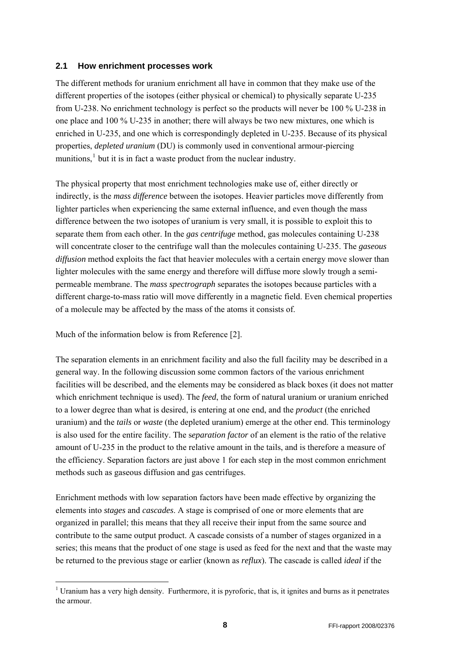#### <span id="page-7-0"></span>**2.1 How enrichment processes work**

The different methods for uranium enrichment all have in common that they make use of the different properties of the isotopes (either physical or chemical) to physically separate U-235 from U-238. No enrichment technology is perfect so the products will never be 100 % U-238 in one place and 100 % U-235 in another; there will always be two new mixtures, one which is enriched in U-235, and one which is correspondingly depleted in U-235. Because of its physical properties, *depleted uranium* (DU) is commonly used in conventional armour-piercing munitions,<sup>[1](#page-7-1)</sup> but it is in fact a waste product from the nuclear industry.

The physical property that most enrichment technologies make use of, either directly or indirectly, is the *mass difference* between the isotopes. Heavier particles move differently from lighter particles when experiencing the same external influence, and even though the mass difference between the two isotopes of uranium is very small, it is possible to exploit this to separate them from each other. In the *gas centrifuge* method, gas molecules containing U-238 will concentrate closer to the centrifuge wall than the molecules containing U-235. The *gaseous diffusion* method exploits the fact that heavier molecules with a certain energy move slower than lighter molecules with the same energy and therefore will diffuse more slowly trough a semipermeable membrane. The *mass spectrograph* separates the isotopes because particles with a different charge-to-mass ratio will move differently in a magnetic field. Even chemical properties of a molecule may be affected by the mass of the atoms it consists of.

Much of the information below is from Reference [2].

-

The separation elements in an enrichment facility and also the full facility may be described in a general way. In the following discussion some common factors of the various enrichment facilities will be described, and the elements may be considered as black boxes (it does not matter which enrichment technique is used). The *feed*, the form of natural uranium or uranium enriched to a lower degree than what is desired, is entering at one end, and the *product* (the enriched uranium) and the *tails* or *waste* (the depleted uranium) emerge at the other end. This terminology is also used for the entire facility. The s*eparation factor* of an element is the ratio of the relative amount of U-235 in the product to the relative amount in the tails, and is therefore a measure of the efficiency. Separation factors are just above 1 for each step in the most common enrichment methods such as gaseous diffusion and gas centrifuges.

Enrichment methods with low separation factors have been made effective by organizing the elements into *stages* and *cascades*. A stage is comprised of one or more elements that are organized in parallel; this means that they all receive their input from the same source and contribute to the same output product. A cascade consists of a number of stages organized in a series; this means that the product of one stage is used as feed for the next and that the waste may be returned to the previous stage or earlier (known as *reflux*). The cascade is called *ideal* if the

<span id="page-7-1"></span><sup>&</sup>lt;sup>1</sup> Uranium has a very high density. Furthermore, it is pyroforic, that is, it ignites and burns as it penetrates the armour.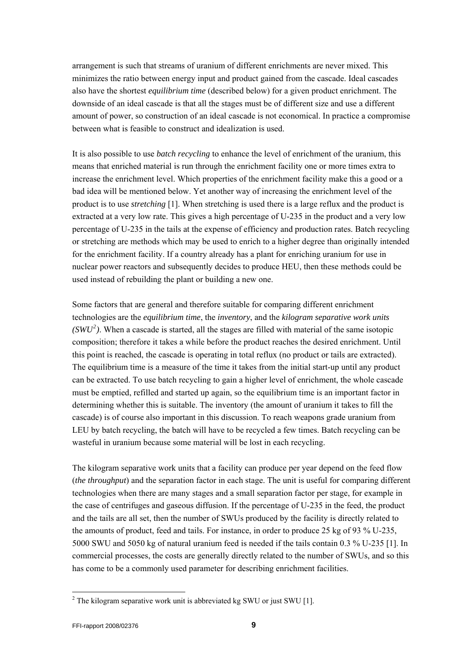arrangement is such that streams of uranium of different enrichments are never mixed. This minimizes the ratio between energy input and product gained from the cascade. Ideal cascades also have the shortest *equilibrium time* (described below) for a given product enrichment. The downside of an ideal cascade is that all the stages must be of different size and use a different amount of power, so construction of an ideal cascade is not economical. In practice a compromise between what is feasible to construct and idealization is used.

It is also possible to use *batch recycling* to enhance the level of enrichment of the uranium, this means that enriched material is run through the enrichment facility one or more times extra to increase the enrichment level. Which properties of the enrichment facility make this a good or a bad idea will be mentioned below. Yet another way of increasing the enrichment level of the product is to use *stretching* [1]. When stretching is used there is a large reflux and the product is extracted at a very low rate. This gives a high percentage of U-235 in the product and a very low percentage of U-235 in the tails at the expense of efficiency and production rates. Batch recycling or stretching are methods which may be used to enrich to a higher degree than originally intended for the enrichment facility. If a country already has a plant for enriching uranium for use in nuclear power reactors and subsequently decides to produce HEU, then these methods could be used instead of rebuilding the plant or building a new one.

Some factors that are general and therefore suitable for comparing different enrichment technologies are the *equilibrium time*, the *inventory*, and the *kilogram separative work units*   $(SWU<sup>2</sup>)$  $(SWU<sup>2</sup>)$  $(SWU<sup>2</sup>)$ . When a cascade is started, all the stages are filled with material of the same isotopic composition; therefore it takes a while before the product reaches the desired enrichment. Until this point is reached, the cascade is operating in total reflux (no product or tails are extracted). The equilibrium time is a measure of the time it takes from the initial start-up until any product can be extracted. To use batch recycling to gain a higher level of enrichment, the whole cascade must be emptied, refilled and started up again, so the equilibrium time is an important factor in determining whether this is suitable. The inventory (the amount of uranium it takes to fill the cascade) is of course also important in this discussion. To reach weapons grade uranium from LEU by batch recycling, the batch will have to be recycled a few times. Batch recycling can be wasteful in uranium because some material will be lost in each recycling.

The kilogram separative work units that a facility can produce per year depend on the feed flow (*the throughput*) and the separation factor in each stage. The unit is useful for comparing different technologies when there are many stages and a small separation factor per stage, for example in the case of centrifuges and gaseous diffusion. If the percentage of U-235 in the feed, the product and the tails are all set, then the number of SWUs produced by the facility is directly related to the amounts of product, feed and tails. For instance, in order to produce 25 kg of 93 % U-235, 5000 SWU and 5050 kg of natural uranium feed is needed if the tails contain 0.3 % U-235 [1]. In commercial processes, the costs are generally directly related to the number of SWUs, and so this has come to be a commonly used parameter for describing enrichment facilities.

l

<span id="page-8-0"></span><sup>&</sup>lt;sup>2</sup> The kilogram separative work unit is abbreviated kg SWU or just SWU [1].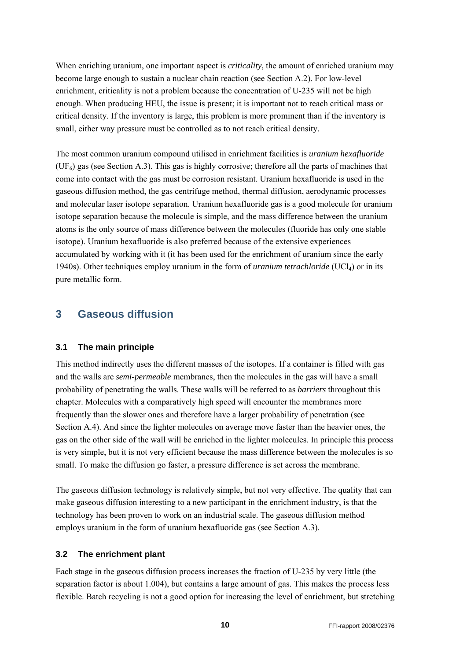<span id="page-9-0"></span>When enriching uranium, one important aspect is *criticality*, the amount of enriched uranium may become large enough to sustain a nuclear chain reaction (see Section [A.2](#page-40-3)). For low-level enrichment, criticality is not a problem because the concentration of U-235 will not be high enough. When producing HEU, the issue is present; it is important not to reach critical mass or critical density. If the inventory is large, this problem is more prominent than if the inventory is small, either way pressure must be controlled as to not reach critical density.

The most common uranium compound utilised in enrichment facilities is *uranium hexafluoride*  $(UF<sub>6</sub>)$  gas (see Section [A.3](#page-41-1)). This gas is highly corrosive; therefore all the parts of machines that come into contact with the gas must be corrosion resistant. Uranium hexafluoride is used in the gaseous diffusion method, the gas centrifuge method, thermal diffusion, aerodynamic processes and molecular laser isotope separation. Uranium hexafluoride gas is a good molecule for uranium isotope separation because the molecule is simple, and the mass difference between the uranium atoms is the only source of mass difference between the molecules (fluoride has only one stable isotope). Uranium hexafluoride is also preferred because of the extensive experiences accumulated by working with it (it has been used for the enrichment of uranium since the early 1940s). Other techniques employ uranium in the form of *uranium tetrachloride* (UCl4) or in its pure metallic form.

# **3 Gaseous diffusion**

#### **3.1 The main principle**

This method indirectly uses the different masses of the isotopes. If a container is filled with gas and the walls are *semi-permeable* membranes, then the molecules in the gas will have a small probability of penetrating the walls. These walls will be referred to as *barriers* throughout this chapter. Molecules with a comparatively high speed will encounter the membranes more frequently than the slower ones and therefore have a larger probability of penetration (see Section [A.4\)](#page-42-1). And since the lighter molecules on average move faster than the heavier ones, the gas on the other side of the wall will be enriched in the lighter molecules. In principle this process is very simple, but it is not very efficient because the mass difference between the molecules is so small. To make the diffusion go faster, a pressure difference is set across the membrane.

The gaseous diffusion technology is relatively simple, but not very effective. The quality that can make gaseous diffusion interesting to a new participant in the enrichment industry, is that the technology has been proven to work on an industrial scale. The gaseous diffusion method employs uranium in the form of uranium hexafluoride gas (see Section [A.3](#page-41-1)).

#### **3.2 The enrichment plant**

Each stage in the gaseous diffusion process increases the fraction of U-235 by very little (the separation factor is about 1.004), but contains a large amount of gas. This makes the process less flexible. Batch recycling is not a good option for increasing the level of enrichment, but stretching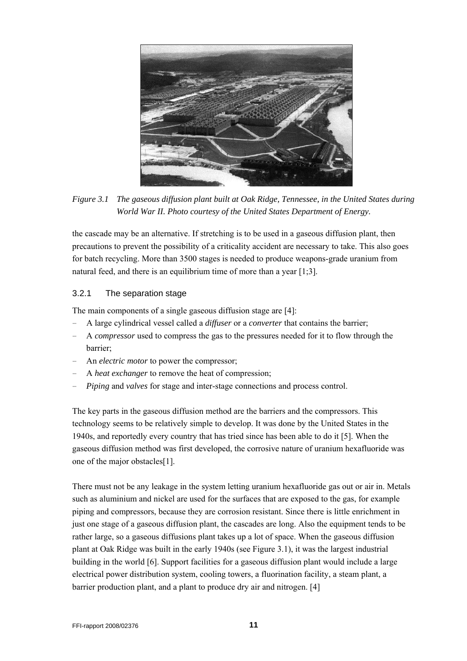<span id="page-10-0"></span>

*Figure 3.1 The gaseous diffusion plant built at Oak Ridge, Tennessee, in the United States during World War II. Photo courtesy of the United States Department of Energy.* 

<span id="page-10-1"></span>the cascade may be an alternative. If stretching is to be used in a gaseous diffusion plant, then precautions to prevent the possibility of a criticality accident are necessary to take. This also goes for batch recycling. More than 3500 stages is needed to produce weapons-grade uranium from natural feed, and there is an equilibrium time of more than a year [1;3].

#### 3.2.1 The separation stage

The main components of a single gaseous diffusion stage are [4]:

- A large cylindrical vessel called a *diffuser* or a *converter* that contains the barrier;
- A *compressor* used to compress the gas to the pressures needed for it to flow through the barrier;
- An *electric motor* to power the compressor;
- A *heat exchanger* to remove the heat of compression;
- *Piping* and *valves* for stage and inter-stage connections and process control.

The key parts in the gaseous diffusion method are the barriers and the compressors. This technology seems to be relatively simple to develop. It was done by the United States in the 1940s, and reportedly every country that has tried since has been able to do it [5]. When the gaseous diffusion method was first developed, the corrosive nature of uranium hexafluoride was one of the major obstacles[1].

There must not be any leakage in the system letting uranium hexafluoride gas out or air in. Metals such as aluminium and nickel are used for the surfaces that are exposed to the gas, for example piping and compressors, because they are corrosion resistant. Since there is little enrichment in just one stage of a gaseous diffusion plant, the cascades are long. Also the equipment tends to be rather large, so a gaseous diffusions plant takes up a lot of space. When the gaseous diffusion plant at Oak Ridge was built in the early 1940s (see [Figure 3.1](#page-10-1)), it was the largest industrial building in the world [6]. Support facilities for a gaseous diffusion plant would include a large electrical power distribution system, cooling towers, a fluorination facility, a steam plant, a barrier production plant, and a plant to produce dry air and nitrogen. [4]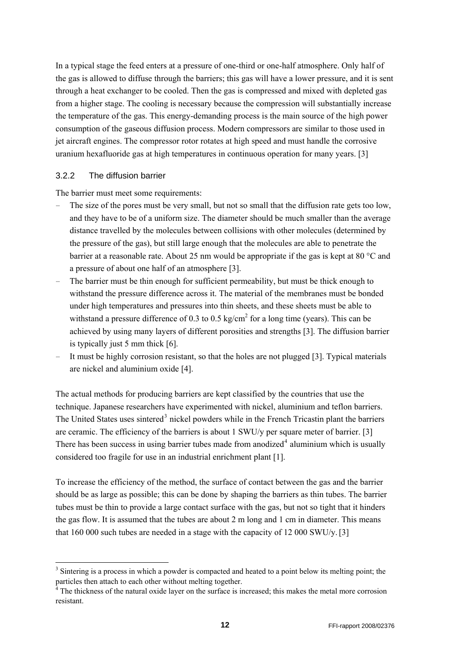<span id="page-11-0"></span>In a typical stage the feed enters at a pressure of one-third or one-half atmosphere. Only half of the gas is allowed to diffuse through the barriers; this gas will have a lower pressure, and it is sent through a heat exchanger to be cooled. Then the gas is compressed and mixed with depleted gas from a higher stage. The cooling is necessary because the compression will substantially increase the temperature of the gas. This energy-demanding process is the main source of the high power consumption of the gaseous diffusion process. Modern compressors are similar to those used in jet aircraft engines. The compressor rotor rotates at high speed and must handle the corrosive uranium hexafluoride gas at high temperatures in continuous operation for many years. [3]

#### 3.2.2 The diffusion barrier

-

The barrier must meet some requirements:

- The size of the pores must be very small, but not so small that the diffusion rate gets too low, and they have to be of a uniform size. The diameter should be much smaller than the average distance travelled by the molecules between collisions with other molecules (determined by the pressure of the gas), but still large enough that the molecules are able to penetrate the barrier at a reasonable rate. About 25 nm would be appropriate if the gas is kept at 80 °C and a pressure of about one half of an atmosphere [3].
- The barrier must be thin enough for sufficient permeability, but must be thick enough to withstand the pressure difference across it. The material of the membranes must be bonded under high temperatures and pressures into thin sheets, and these sheets must be able to withstand a pressure difference of 0.3 to 0.5 kg/cm<sup>2</sup> for a long time (years). This can be achieved by using many layers of different porosities and strengths [3]. The diffusion barrier is typically just 5 mm thick [6].
- It must be highly corrosion resistant, so that the holes are not plugged [3]. Typical materials are nickel and aluminium oxide [4].

The actual methods for producing barriers are kept classified by the countries that use the technique. Japanese researchers have experimented with nickel, aluminium and teflon barriers. The United States uses sintered<sup>[3](#page-11-1)</sup> nickel powders while in the French Tricastin plant the barriers are ceramic. The efficiency of the barriers is about 1 SWU/y per square meter of barrier. [3] There has been success in using barrier tubes made from anodized<sup>[4](#page-11-2)</sup> aluminium which is usually considered too fragile for use in an industrial enrichment plant [1].

To increase the efficiency of the method, the surface of contact between the gas and the barrier should be as large as possible; this can be done by shaping the barriers as thin tubes. The barrier tubes must be thin to provide a large contact surface with the gas, but not so tight that it hinders the gas flow. It is assumed that the tubes are about 2 m long and 1 cm in diameter. This means that 160 000 such tubes are needed in a stage with the capacity of 12 000 SWU/y.[3]

<span id="page-11-1"></span><sup>&</sup>lt;sup>3</sup> Sintering is a process in which a powder is compacted and heated to a point below its melting point; the particles then attach to each other without melting together.

<span id="page-11-2"></span><sup>&</sup>lt;sup>4</sup> The thickness of the natural oxide layer on the surface is increased; this makes the metal more corrosion resistant.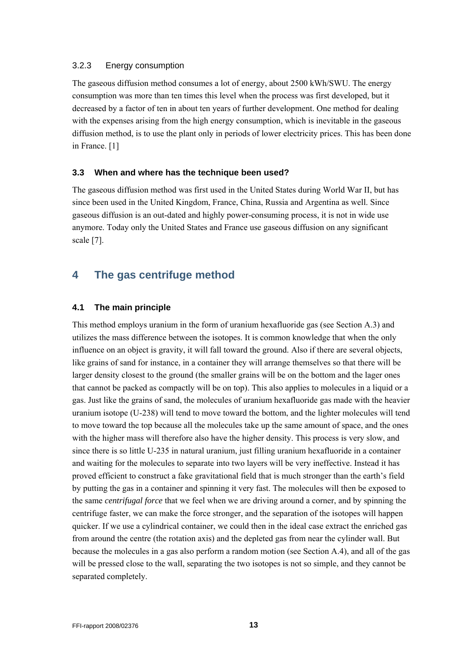#### <span id="page-12-0"></span>3.2.3 Energy consumption

The gaseous diffusion method consumes a lot of energy, about 2500 kWh/SWU. The energy consumption was more than ten times this level when the process was first developed, but it decreased by a factor of ten in about ten years of further development. One method for dealing with the expenses arising from the high energy consumption, which is inevitable in the gaseous diffusion method, is to use the plant only in periods of lower electricity prices. This has been done in France. [1]

#### **3.3 When and where has the technique been used?**

The gaseous diffusion method was first used in the United States during World War II, but has since been used in the United Kingdom, France, China, Russia and Argentina as well. Since gaseous diffusion is an out-dated and highly power-consuming process, it is not in wide use anymore. Today only the United States and France use gaseous diffusion on any significant scale [7].

# **4 The gas centrifuge method**

## **4.1 The main principle**

This method employs uranium in the form of uranium hexafluoride gas (see Section [A.3\)](#page-41-1) and utilizes the mass difference between the isotopes. It is common knowledge that when the only influence on an object is gravity, it will fall toward the ground. Also if there are several objects, like grains of sand for instance, in a container they will arrange themselves so that there will be larger density closest to the ground (the smaller grains will be on the bottom and the lager ones that cannot be packed as compactly will be on top). This also applies to molecules in a liquid or a gas. Just like the grains of sand, the molecules of uranium hexafluoride gas made with the heavier uranium isotope (U-238) will tend to move toward the bottom, and the lighter molecules will tend to move toward the top because all the molecules take up the same amount of space, and the ones with the higher mass will therefore also have the higher density. This process is very slow, and since there is so little U-235 in natural uranium, just filling uranium hexafluoride in a container and waiting for the molecules to separate into two layers will be very ineffective. Instead it has proved efficient to construct a fake gravitational field that is much stronger than the earth's field by putting the gas in a container and spinning it very fast. The molecules will then be exposed to the same *centrifugal force* that we feel when we are driving around a corner, and by spinning the centrifuge faster, we can make the force stronger, and the separation of the isotopes will happen quicker. If we use a cylindrical container, we could then in the ideal case extract the enriched gas from around the centre (the rotation axis) and the depleted gas from near the cylinder wall. But because the molecules in a gas also perform a random motion (see Section [A.4\)](#page-42-1), and all of the gas will be pressed close to the wall, separating the two isotopes is not so simple, and they cannot be separated completely.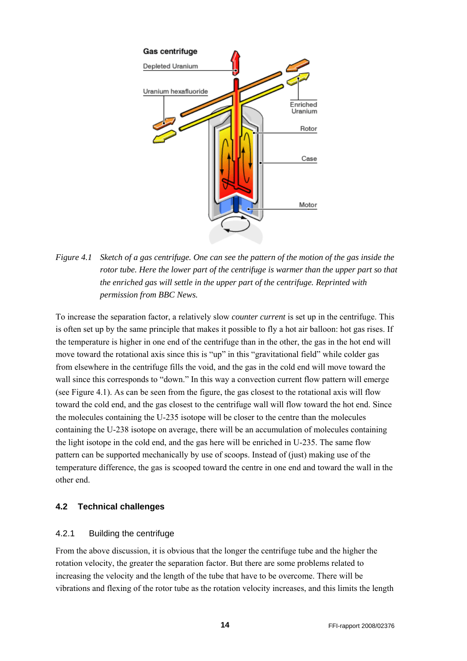<span id="page-13-0"></span>

<span id="page-13-1"></span>*Figure 4.1 Sketch of a gas centrifuge. One can see the pattern of the motion of the gas inside the rotor tube. Here the lower part of the centrifuge is warmer than the upper part so that the enriched gas will settle in the upper part of the centrifuge. Reprinted with permission from BBC News.* 

To increase the separation factor, a relatively slow *counter current* is set up in the centrifuge. This is often set up by the same principle that makes it possible to fly a hot air balloon: hot gas rises. If the temperature is higher in one end of the centrifuge than in the other, the gas in the hot end will move toward the rotational axis since this is "up" in this "gravitational field" while colder gas from elsewhere in the centrifuge fills the void, and the gas in the cold end will move toward the wall since this corresponds to "down." In this way a convection current flow pattern will emerge (see [Figure 4.1\)](#page-13-1). As can be seen from the figure, the gas closest to the rotational axis will flow toward the cold end, and the gas closest to the centrifuge wall will flow toward the hot end. Since the molecules containing the U-235 isotope will be closer to the centre than the molecules containing the U-238 isotope on average, there will be an accumulation of molecules containing the light isotope in the cold end, and the gas here will be enriched in U-235. The same flow pattern can be supported mechanically by use of scoops. Instead of (just) making use of the temperature difference, the gas is scooped toward the centre in one end and toward the wall in the other end.

#### **4.2 Technical challenges**

#### 4.2.1 Building the centrifuge

From the above discussion, it is obvious that the longer the centrifuge tube and the higher the rotation velocity, the greater the separation factor. But there are some problems related to increasing the velocity and the length of the tube that have to be overcome. There will be vibrations and flexing of the rotor tube as the rotation velocity increases, and this limits the length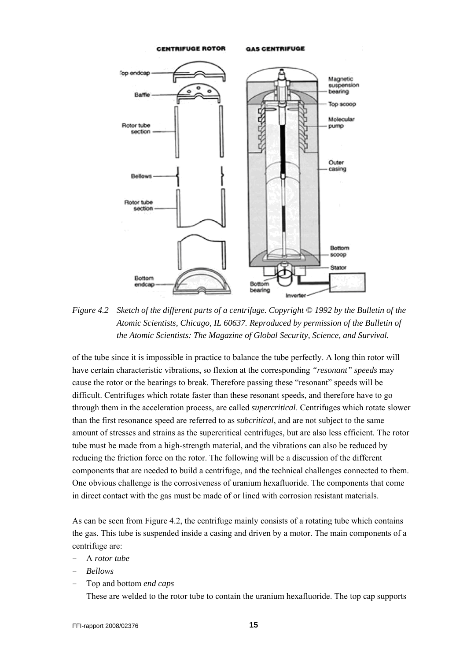

<span id="page-14-0"></span>*Figure 4.2 Sketch of the different parts of a centrifuge. Copyright © 1992 by the Bulletin of the Atomic Scientists, Chicago, IL 60637. Reproduced by permission of the Bulletin of the Atomic Scientists: The Magazine of Global Security, Science, and Survival.* 

of the tube since it is impossible in practice to balance the tube perfectly. A long thin rotor will have certain characteristic vibrations, so flexion at the corresponding *"resonant" speeds* may cause the rotor or the bearings to break. Therefore passing these "resonant" speeds will be difficult. Centrifuges which rotate faster than these resonant speeds, and therefore have to go through them in the acceleration process, are called *supercritical*. Centrifuges which rotate slower than the first resonance speed are referred to as *subcritical*, and are not subject to the same amount of stresses and strains as the supercritical centrifuges, but are also less efficient. The rotor tube must be made from a high-strength material, and the vibrations can also be reduced by reducing the friction force on the rotor. The following will be a discussion of the different components that are needed to build a centrifuge, and the technical challenges connected to them. One obvious challenge is the corrosiveness of uranium hexafluoride. The components that come in direct contact with the gas must be made of or lined with corrosion resistant materials.

As can be seen from [Figure 4.2,](#page-14-0) the centrifuge mainly consists of a rotating tube which contains the gas. This tube is suspended inside a casing and driven by a motor. The main components of a centrifuge are:

- A *rotor tube*
- *Bellows*
- Top and bottom *end caps*

These are welded to the rotor tube to contain the uranium hexafluoride. The top cap supports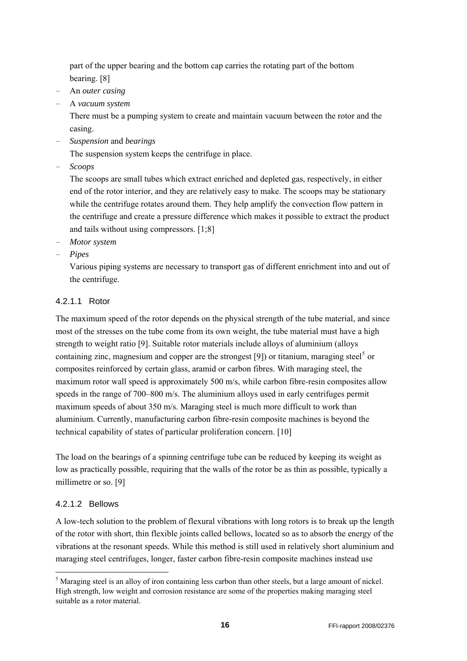part of the upper bearing and the bottom cap carries the rotating part of the bottom bearing. [8]

- An *outer casing*
- A *vacuum system*

There must be a pumping system to create and maintain vacuum between the rotor and the casing.

– *Suspension* and *bearings* 

The suspension system keeps the centrifuge in place.

– *Scoops* 

The scoops are small tubes which extract enriched and depleted gas, respectively, in either end of the rotor interior, and they are relatively easy to make. The scoops may be stationary while the centrifuge rotates around them. They help amplify the convection flow pattern in the centrifuge and create a pressure difference which makes it possible to extract the product and tails without using compressors. [1;8]

- *Motor system*
- *Pipes*

Various piping systems are necessary to transport gas of different enrichment into and out of the centrifuge.

## 4.2.1.1 Rotor

The maximum speed of the rotor depends on the physical strength of the tube material, and since most of the stresses on the tube come from its own weight, the tube material must have a high strength to weight ratio [9]. Suitable rotor materials include alloys of aluminium (alloys containing zinc, magnesium and copper are the strongest [9]) or titanium, maraging steel<sup>[5](#page-15-0)</sup> or composites reinforced by certain glass, aramid or carbon fibres. With maraging steel, the maximum rotor wall speed is approximately 500 m/s, while carbon fibre-resin composites allow speeds in the range of 700–800 m/s. The aluminium alloys used in early centrifuges permit maximum speeds of about 350 m/s. Maraging steel is much more difficult to work than aluminium. Currently, manufacturing carbon fibre-resin composite machines is beyond the technical capability of states of particular proliferation concern. [10]

The load on the bearings of a spinning centrifuge tube can be reduced by keeping its weight as low as practically possible, requiring that the walls of the rotor be as thin as possible, typically a millimetre or so. [9]

## 4.2.1.2 Bellows

1

A low-tech solution to the problem of flexural vibrations with long rotors is to break up the length of the rotor with short, thin flexible joints called bellows, located so as to absorb the energy of the vibrations at the resonant speeds. While this method is still used in relatively short aluminium and maraging steel centrifuges, longer, faster carbon fibre-resin composite machines instead use

<span id="page-15-0"></span><sup>&</sup>lt;sup>5</sup> Maraging steel is an alloy of iron containing less carbon than other steels, but a large amount of nickel. High strength, low weight and corrosion resistance are some of the properties making maraging steel suitable as a rotor material.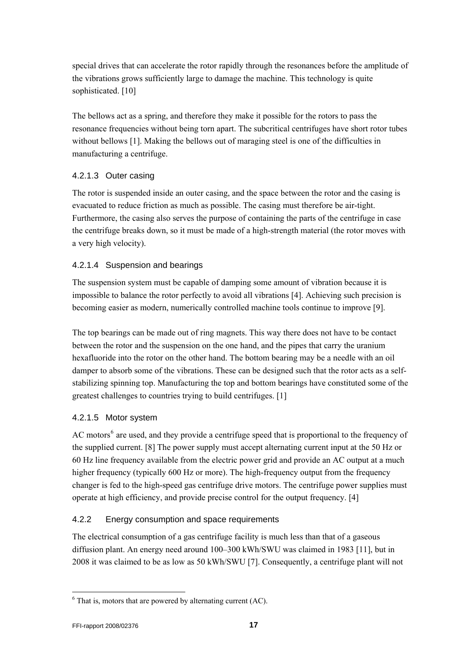<span id="page-16-0"></span>special drives that can accelerate the rotor rapidly through the resonances before the amplitude of the vibrations grows sufficiently large to damage the machine. This technology is quite sophisticated. [10]

The bellows act as a spring, and therefore they make it possible for the rotors to pass the resonance frequencies without being torn apart. The subcritical centrifuges have short rotor tubes without bellows [1]. Making the bellows out of maraging steel is one of the difficulties in manufacturing a centrifuge.

## 4.2.1.3 Outer casing

The rotor is suspended inside an outer casing, and the space between the rotor and the casing is evacuated to reduce friction as much as possible. The casing must therefore be air-tight. Furthermore, the casing also serves the purpose of containing the parts of the centrifuge in case the centrifuge breaks down, so it must be made of a high-strength material (the rotor moves with a very high velocity).

## 4.2.1.4 Suspension and bearings

The suspension system must be capable of damping some amount of vibration because it is impossible to balance the rotor perfectly to avoid all vibrations [4]. Achieving such precision is becoming easier as modern, numerically controlled machine tools continue to improve [9].

The top bearings can be made out of ring magnets. This way there does not have to be contact between the rotor and the suspension on the one hand, and the pipes that carry the uranium hexafluoride into the rotor on the other hand. The bottom bearing may be a needle with an oil damper to absorb some of the vibrations. These can be designed such that the rotor acts as a selfstabilizing spinning top. Manufacturing the top and bottom bearings have constituted some of the greatest challenges to countries trying to build centrifuges. [1]

# 4.2.1.5 Motor system

AC motors<sup>[6](#page-16-1)</sup> are used, and they provide a centrifuge speed that is proportional to the frequency of the supplied current. [8] The power supply must accept alternating current input at the 50 Hz or 60 Hz line frequency available from the electric power grid and provide an AC output at a much higher frequency (typically 600 Hz or more). The high-frequency output from the frequency changer is fed to the high-speed gas centrifuge drive motors. The centrifuge power supplies must operate at high efficiency, and provide precise control for the output frequency. [4]

# 4.2.2 Energy consumption and space requirements

The electrical consumption of a gas centrifuge facility is much less than that of a gaseous diffusion plant. An energy need around 100–300 kWh/SWU was claimed in 1983 [11], but in 2008 it was claimed to be as low as 50 kWh/SWU [7]. Consequently, a centrifuge plant will not

l

<span id="page-16-1"></span> $6$  That is, motors that are powered by alternating current (AC).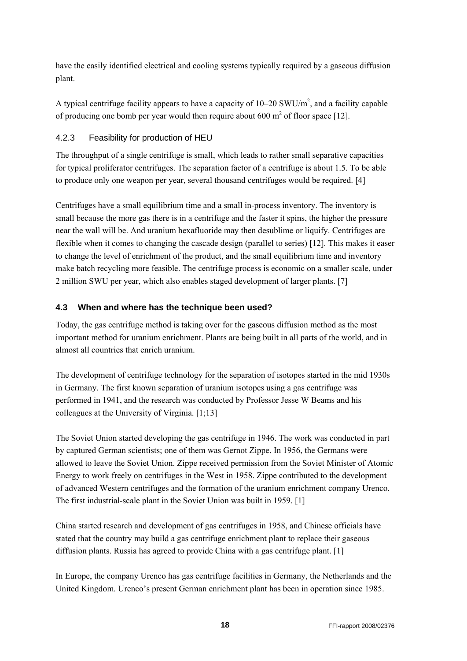<span id="page-17-0"></span>have the easily identified electrical and cooling systems typically required by a gaseous diffusion plant.

A typical centrifuge facility appears to have a capacity of  $10-20$  SWU/m<sup>2</sup>, and a facility capable of producing one bomb per year would then require about 600  $m<sup>2</sup>$  of floor space [12].

# 4.2.3 Feasibility for production of HEU

The throughput of a single centrifuge is small, which leads to rather small separative capacities for typical proliferator centrifuges. The separation factor of a centrifuge is about 1.5. To be able to produce only one weapon per year, several thousand centrifuges would be required. [4]

Centrifuges have a small equilibrium time and a small in-process inventory. The inventory is small because the more gas there is in a centrifuge and the faster it spins, the higher the pressure near the wall will be. And uranium hexafluoride may then desublime or liquify. Centrifuges are flexible when it comes to changing the cascade design (parallel to series) [12]. This makes it easer to change the level of enrichment of the product, and the small equilibrium time and inventory make batch recycling more feasible. The centrifuge process is economic on a smaller scale, under 2 million SWU per year, which also enables staged development of larger plants. [7]

## **4.3 When and where has the technique been used?**

Today, the gas centrifuge method is taking over for the gaseous diffusion method as the most important method for uranium enrichment. Plants are being built in all parts of the world, and in almost all countries that enrich uranium.

The development of centrifuge technology for the separation of isotopes started in the mid 1930s in Germany. The first known separation of uranium isotopes using a gas centrifuge was performed in 1941, and the research was conducted by Professor Jesse W Beams and his colleagues at the University of Virginia. [1;13]

The Soviet Union started developing the gas centrifuge in 1946. The work was conducted in part by captured German scientists; one of them was Gernot Zippe. In 1956, the Germans were allowed to leave the Soviet Union. Zippe received permission from the Soviet Minister of Atomic Energy to work freely on centrifuges in the West in 1958. Zippe contributed to the development of advanced Western centrifuges and the formation of the uranium enrichment company Urenco. The first industrial-scale plant in the Soviet Union was built in 1959. [1]

China started research and development of gas centrifuges in 1958, and Chinese officials have stated that the country may build a gas centrifuge enrichment plant to replace their gaseous diffusion plants. Russia has agreed to provide China with a gas centrifuge plant. [1]

In Europe, the company Urenco has gas centrifuge facilities in Germany, the Netherlands and the United Kingdom. Urenco's present German enrichment plant has been in operation since 1985.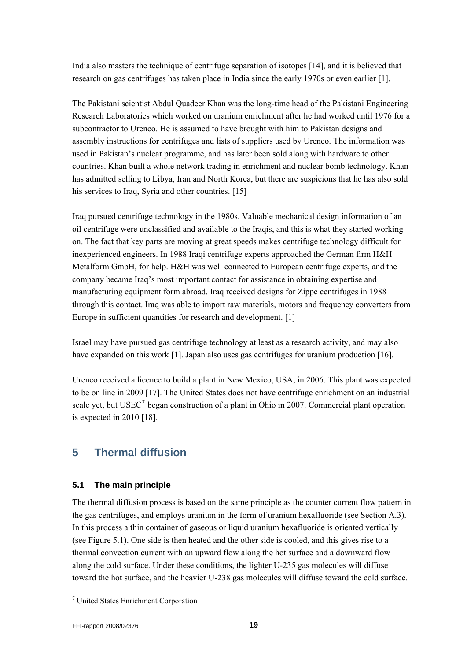<span id="page-18-0"></span>India also masters the technique of centrifuge separation of isotopes [14], and it is believed that research on gas centrifuges has taken place in India since the early 1970s or even earlier [1].

The Pakistani scientist Abdul Quadeer Khan was the long-time head of the Pakistani Engineering Research Laboratories which worked on uranium enrichment after he had worked until 1976 for a subcontractor to Urenco. He is assumed to have brought with him to Pakistan designs and assembly instructions for centrifuges and lists of suppliers used by Urenco. The information was used in Pakistan's nuclear programme, and has later been sold along with hardware to other countries. Khan built a whole network trading in enrichment and nuclear bomb technology. Khan has admitted selling to Libya, Iran and North Korea, but there are suspicions that he has also sold his services to Iraq, Syria and other countries. [15]

Iraq pursued centrifuge technology in the 1980s. Valuable mechanical design information of an oil centrifuge were unclassified and available to the Iraqis, and this is what they started working on. The fact that key parts are moving at great speeds makes centrifuge technology difficult for inexperienced engineers. In 1988 Iraqi centrifuge experts approached the German firm H&H Metalform GmbH, for help. H&H was well connected to European centrifuge experts, and the company became Iraq's most important contact for assistance in obtaining expertise and manufacturing equipment form abroad. Iraq received designs for Zippe centrifuges in 1988 through this contact. Iraq was able to import raw materials, motors and frequency converters from Europe in sufficient quantities for research and development. [1]

Israel may have pursued gas centrifuge technology at least as a research activity, and may also have expanded on this work [1]. Japan also uses gas centrifuges for uranium production [16].

Urenco received a licence to build a plant in New Mexico, USA, in 2006. This plant was expected to be on line in 2009 [17]. The United States does not have centrifuge enrichment on an industrial scale yet, but  ${USEC}^7$  ${USEC}^7$  began construction of a plant in Ohio in 2007. Commercial plant operation is expected in 2010 [18].

# **5 Thermal diffusion**

## **5.1 The main principle**

The thermal diffusion process is based on the same principle as the counter current flow pattern in the gas centrifuges, and employs uranium in the form of uranium hexafluoride (see Section [A.3\)](#page-41-1). In this process a thin container of gaseous or liquid uranium hexafluoride is oriented vertically (see [Figure 5.1\)](#page-19-1). One side is then heated and the other side is cooled, and this gives rise to a thermal convection current with an upward flow along the hot surface and a downward flow along the cold surface. Under these conditions, the lighter U-235 gas molecules will diffuse toward the hot surface, and the heavier U-238 gas molecules will diffuse toward the cold surface.

l

<span id="page-18-1"></span><sup>7</sup> United States Enrichment Corporation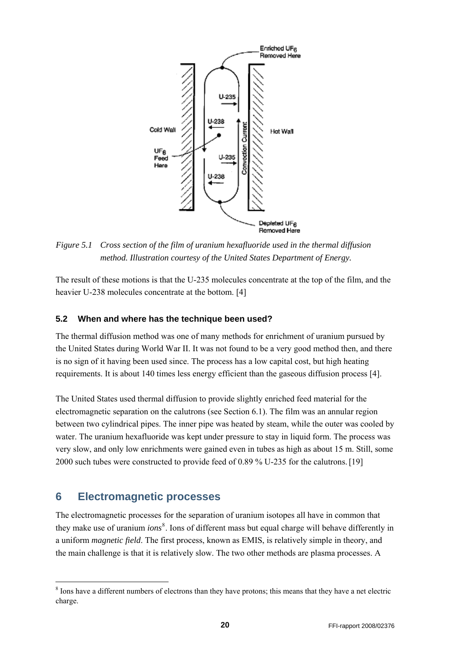<span id="page-19-0"></span>

<span id="page-19-1"></span>*Figure 5.1 Cross section of the film of uranium hexafluoride used in the thermal diffusion method. Illustration courtesy of the United States Department of Energy.* 

The result of these motions is that the U-235 molecules concentrate at the top of the film, and the heavier U-238 molecules concentrate at the bottom. [4]

#### **5.2 When and where has the technique been used?**

The thermal diffusion method was one of many methods for enrichment of uranium pursued by the United States during World War II. It was not found to be a very good method then, and there is no sign of it having been used since. The process has a low capital cost, but high heating requirements. It is about 140 times less energy efficient than the gaseous diffusion process [4].

The United States used thermal diffusion to provide slightly enriched feed material for the electromagnetic separation on the calutrons (see Section [6.1\)](#page-20-1). The film was an annular region between two cylindrical pipes. The inner pipe was heated by steam, while the outer was cooled by water. The uranium hexafluoride was kept under pressure to stay in liquid form. The process was very slow, and only low enrichments were gained even in tubes as high as about 15 m. Still, some 2000 such tubes were constructed to provide feed of 0.89 % U-235 for the calutrons.[19]

## **6 Electromagnetic processes**

-

The electromagnetic processes for the separation of uranium isotopes all have in common that they make use of uranium *ions*<sup>[8](#page-19-2)</sup>. Ions of different mass but equal charge will behave differently in a uniform *magnetic field*. The first process, known as EMIS, is relatively simple in theory, and the main challenge is that it is relatively slow. The two other methods are plasma processes. A

<span id="page-19-2"></span><sup>&</sup>lt;sup>8</sup> Ions have a different numbers of electrons than they have protons; this means that they have a net electric charge.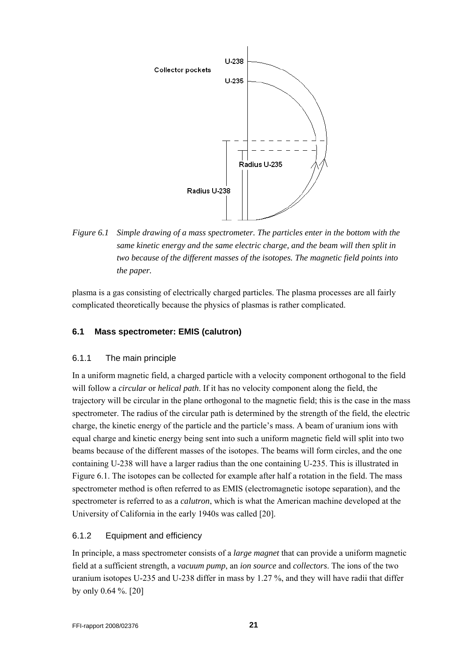<span id="page-20-0"></span>

<span id="page-20-2"></span>*Figure 6.1 Simple drawing of a mass spectrometer. The particles enter in the bottom with the same kinetic energy and the same electric charge, and the beam will then split in two because of the different masses of the isotopes. The magnetic field points into the paper.* 

plasma is a gas consisting of electrically charged particles. The plasma processes are all fairly complicated theoretically because the physics of plasmas is rather complicated.

### <span id="page-20-1"></span>**6.1 Mass spectrometer: EMIS (calutron)**

#### 6.1.1 The main principle

In a uniform magnetic field, a charged particle with a velocity component orthogonal to the field will follow a *circular* or *helical path*. If it has no velocity component along the field, the trajectory will be circular in the plane orthogonal to the magnetic field; this is the case in the mass spectrometer. The radius of the circular path is determined by the strength of the field, the electric charge, the kinetic energy of the particle and the particle's mass. A beam of uranium ions with equal charge and kinetic energy being sent into such a uniform magnetic field will split into two beams because of the different masses of the isotopes. The beams will form circles, and the one containing U-238 will have a larger radius than the one containing U-235. This is illustrated in [Figure 6.1](#page-20-2). The isotopes can be collected for example after half a rotation in the field. The mass spectrometer method is often referred to as EMIS (electromagnetic isotope separation), and the spectrometer is referred to as a *calutron*, which is what the American machine developed at the University of California in the early 1940s was called [20].

## 6.1.2 Equipment and efficiency

In principle, a mass spectrometer consists of a *large magnet* that can provide a uniform magnetic field at a sufficient strength, a *vacuum pump*, an *ion source* and *collectors*. The ions of the two uranium isotopes U-235 and U-238 differ in mass by 1.27 %, and they will have radii that differ by only 0.64 %. [20]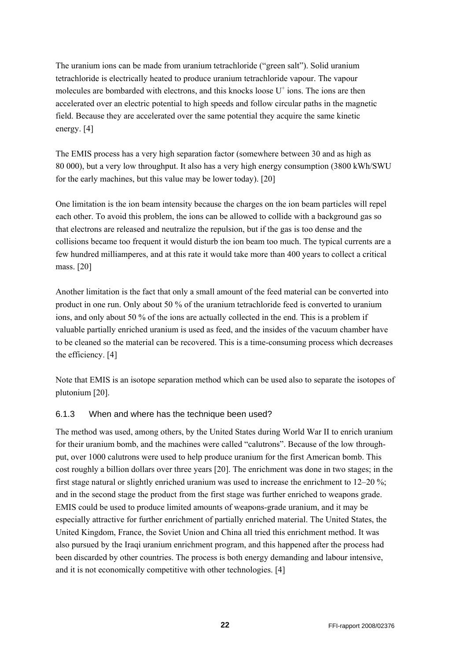<span id="page-21-0"></span>The uranium ions can be made from uranium tetrachloride ("green salt"). Solid uranium tetrachloride is electrically heated to produce uranium tetrachloride vapour. The vapour molecules are bombarded with electrons, and this knocks loose  $U^+$  ions. The ions are then accelerated over an electric potential to high speeds and follow circular paths in the magnetic field. Because they are accelerated over the same potential they acquire the same kinetic energy. [4]

The EMIS process has a very high separation factor (somewhere between 30 and as high as 80 000), but a very low throughput. It also has a very high energy consumption (3800 kWh/SWU for the early machines, but this value may be lower today). [20]

One limitation is the ion beam intensity because the charges on the ion beam particles will repel each other. To avoid this problem, the ions can be allowed to collide with a background gas so that electrons are released and neutralize the repulsion, but if the gas is too dense and the collisions became too frequent it would disturb the ion beam too much. The typical currents are a few hundred milliamperes, and at this rate it would take more than 400 years to collect a critical mass. [20]

Another limitation is the fact that only a small amount of the feed material can be converted into product in one run. Only about 50 % of the uranium tetrachloride feed is converted to uranium ions, and only about 50 % of the ions are actually collected in the end. This is a problem if valuable partially enriched uranium is used as feed, and the insides of the vacuum chamber have to be cleaned so the material can be recovered. This is a time-consuming process which decreases the efficiency. [4]

Note that EMIS is an isotope separation method which can be used also to separate the isotopes of plutonium [20].

## 6.1.3 When and where has the technique been used?

The method was used, among others, by the United States during World War II to enrich uranium for their uranium bomb, and the machines were called "calutrons". Because of the low throughput, over 1000 calutrons were used to help produce uranium for the first American bomb. This cost roughly a billion dollars over three years [20]. The enrichment was done in two stages; in the first stage natural or slightly enriched uranium was used to increase the enrichment to 12–20 %; and in the second stage the product from the first stage was further enriched to weapons grade. EMIS could be used to produce limited amounts of weapons-grade uranium, and it may be especially attractive for further enrichment of partially enriched material. The United States, the United Kingdom, France, the Soviet Union and China all tried this enrichment method. It was also pursued by the Iraqi uranium enrichment program, and this happened after the process had been discarded by other countries. The process is both energy demanding and labour intensive, and it is not economically competitive with other technologies. [4]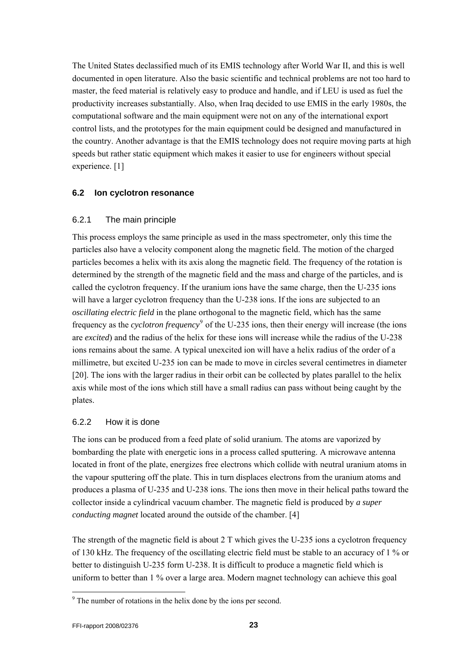<span id="page-22-0"></span>The United States declassified much of its EMIS technology after World War II, and this is well documented in open literature. Also the basic scientific and technical problems are not too hard to master, the feed material is relatively easy to produce and handle, and if LEU is used as fuel the productivity increases substantially. Also, when Iraq decided to use EMIS in the early 1980s, the computational software and the main equipment were not on any of the international export control lists, and the prototypes for the main equipment could be designed and manufactured in the country. Another advantage is that the EMIS technology does not require moving parts at high speeds but rather static equipment which makes it easier to use for engineers without special experience. [1]

#### **6.2 Ion cyclotron resonance**

#### 6.2.1 The main principle

This process employs the same principle as used in the mass spectrometer, only this time the particles also have a velocity component along the magnetic field. The motion of the charged particles becomes a helix with its axis along the magnetic field. The frequency of the rotation is determined by the strength of the magnetic field and the mass and charge of the particles, and is called the cyclotron frequency. If the uranium ions have the same charge, then the U-235 ions will have a larger cyclotron frequency than the U-238 ions. If the ions are subjected to an *oscillating electric field* in the plane orthogonal to the magnetic field, which has the same frequency as the *cyclotron frequency*<sup>[9](#page-22-1)</sup> of the U-235 ions, then their energy will increase (the ions are *excited*) and the radius of the helix for these ions will increase while the radius of the U-238 ions remains about the same. A typical unexcited ion will have a helix radius of the order of a millimetre, but excited U-235 ion can be made to move in circles several centimetres in diameter [20]. The ions with the larger radius in their orbit can be collected by plates parallel to the helix axis while most of the ions which still have a small radius can pass without being caught by the plates.

## 6.2.2 How it is done

The ions can be produced from a feed plate of solid uranium. The atoms are vaporized by bombarding the plate with energetic ions in a process called sputtering. A microwave antenna located in front of the plate, energizes free electrons which collide with neutral uranium atoms in the vapour sputtering off the plate. This in turn displaces electrons from the uranium atoms and produces a plasma of U-235 and U-238 ions. The ions then move in their helical paths toward the collector inside a cylindrical vacuum chamber. The magnetic field is produced by *a super conducting magnet* located around the outside of the chamber. [4]

The strength of the magnetic field is about 2 T which gives the U-235 ions a cyclotron frequency of 130 kHz. The frequency of the oscillating electric field must be stable to an accuracy of 1 % or better to distinguish U-235 form U-238. It is difficult to produce a magnetic field which is uniform to better than 1 % over a large area. Modern magnet technology can achieve this goal

l

<span id="page-22-1"></span><sup>&</sup>lt;sup>9</sup> The number of rotations in the helix done by the ions per second.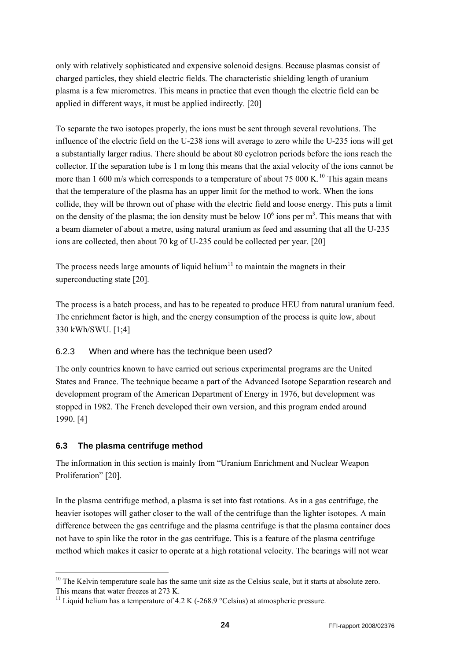<span id="page-23-0"></span>only with relatively sophisticated and expensive solenoid designs. Because plasmas consist of charged particles, they shield electric fields. The characteristic shielding length of uranium plasma is a few micrometres. This means in practice that even though the electric field can be applied in different ways, it must be applied indirectly. [20]

To separate the two isotopes properly, the ions must be sent through several revolutions. The influence of the electric field on the U-238 ions will average to zero while the U-235 ions will get a substantially larger radius. There should be about 80 cyclotron periods before the ions reach the collector. If the separation tube is 1 m long this means that the axial velocity of the ions cannot be more than 1 600 m/s which corresponds to a temperature of about 75 000 K.<sup>[10](#page-23-1)</sup> This again means that the temperature of the plasma has an upper limit for the method to work. When the ions collide, they will be thrown out of phase with the electric field and loose energy. This puts a limit on the density of the plasma; the ion density must be below  $10^6$  ions per m<sup>3</sup>. This means that with a beam diameter of about a metre, using natural uranium as feed and assuming that all the U-235 ions are collected, then about 70 kg of U-235 could be collected per year. [20]

The process needs large amounts of liquid helium<sup>[11](#page-23-2)</sup> to maintain the magnets in their superconducting state [20].

The process is a batch process, and has to be repeated to produce HEU from natural uranium feed. The enrichment factor is high, and the energy consumption of the process is quite low, about 330 kWh/SWU. [1;4]

## 6.2.3 When and where has the technique been used?

The only countries known to have carried out serious experimental programs are the United States and France. The technique became a part of the Advanced Isotope Separation research and development program of the American Department of Energy in 1976, but development was stopped in 1982. The French developed their own version, and this program ended around 1990. [4]

## **6.3 The plasma centrifuge method**

1

The information in this section is mainly from "Uranium Enrichment and Nuclear Weapon Proliferation" [20].

In the plasma centrifuge method, a plasma is set into fast rotations. As in a gas centrifuge, the heavier isotopes will gather closer to the wall of the centrifuge than the lighter isotopes. A main difference between the gas centrifuge and the plasma centrifuge is that the plasma container does not have to spin like the rotor in the gas centrifuge. This is a feature of the plasma centrifuge method which makes it easier to operate at a high rotational velocity. The bearings will not wear

<span id="page-23-1"></span><sup>&</sup>lt;sup>10</sup> The Kelvin temperature scale has the same unit size as the Celsius scale, but it starts at absolute zero. This means that water freezes at 273 K.

<span id="page-23-2"></span><sup>&</sup>lt;sup>11</sup> Liquid helium has a temperature of 4.2 K (-268.9 °Celsius) at atmospheric pressure.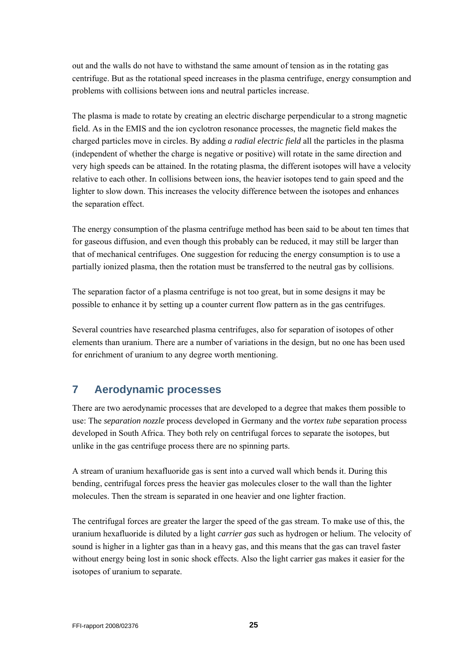<span id="page-24-0"></span>out and the walls do not have to withstand the same amount of tension as in the rotating gas centrifuge. But as the rotational speed increases in the plasma centrifuge, energy consumption and problems with collisions between ions and neutral particles increase.

The plasma is made to rotate by creating an electric discharge perpendicular to a strong magnetic field. As in the EMIS and the ion cyclotron resonance processes, the magnetic field makes the charged particles move in circles. By adding *a radial electric field* all the particles in the plasma (independent of whether the charge is negative or positive) will rotate in the same direction and very high speeds can be attained. In the rotating plasma, the different isotopes will have a velocity relative to each other. In collisions between ions, the heavier isotopes tend to gain speed and the lighter to slow down. This increases the velocity difference between the isotopes and enhances the separation effect.

The energy consumption of the plasma centrifuge method has been said to be about ten times that for gaseous diffusion, and even though this probably can be reduced, it may still be larger than that of mechanical centrifuges. One suggestion for reducing the energy consumption is to use a partially ionized plasma, then the rotation must be transferred to the neutral gas by collisions.

The separation factor of a plasma centrifuge is not too great, but in some designs it may be possible to enhance it by setting up a counter current flow pattern as in the gas centrifuges.

Several countries have researched plasma centrifuges, also for separation of isotopes of other elements than uranium. There are a number of variations in the design, but no one has been used for enrichment of uranium to any degree worth mentioning.

# **7 Aerodynamic processes**

There are two aerodynamic processes that are developed to a degree that makes them possible to use: The *separation nozzle* process developed in Germany and the *vortex tube* separation process developed in South Africa. They both rely on centrifugal forces to separate the isotopes, but unlike in the gas centrifuge process there are no spinning parts.

A stream of uranium hexafluoride gas is sent into a curved wall which bends it. During this bending, centrifugal forces press the heavier gas molecules closer to the wall than the lighter molecules. Then the stream is separated in one heavier and one lighter fraction.

The centrifugal forces are greater the larger the speed of the gas stream. To make use of this, the uranium hexafluoride is diluted by a light *carrier gas* such as hydrogen or helium. The velocity of sound is higher in a lighter gas than in a heavy gas, and this means that the gas can travel faster without energy being lost in sonic shock effects. Also the light carrier gas makes it easier for the isotopes of uranium to separate.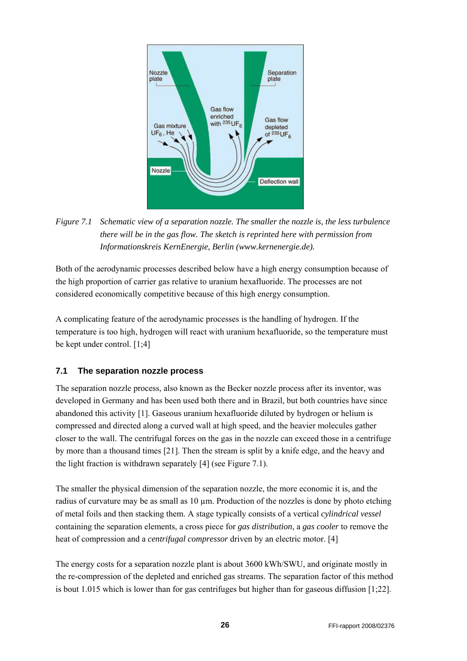<span id="page-25-0"></span>

# <span id="page-25-1"></span>*Figure 7.1 Schematic view of a separation nozzle. The smaller the nozzle is, the less turbulence there will be in the gas flow. The sketch is reprinted here with permission from Informationskreis KernEnergie, Berlin (www.kernenergie.de).*

Both of the aerodynamic processes described below have a high energy consumption because of the high proportion of carrier gas relative to uranium hexafluoride. The processes are not considered economically competitive because of this high energy consumption.

A complicating feature of the aerodynamic processes is the handling of hydrogen. If the temperature is too high, hydrogen will react with uranium hexafluoride, so the temperature must be kept under control. [1;4]

## **7.1 The separation nozzle process**

The separation nozzle process, also known as the Becker nozzle process after its inventor, was developed in Germany and has been used both there and in Brazil, but both countries have since abandoned this activity [1]. Gaseous uranium hexafluoride diluted by hydrogen or helium is compressed and directed along a curved wall at high speed, and the heavier molecules gather closer to the wall. The centrifugal forces on the gas in the nozzle can exceed those in a centrifuge by more than a thousand times [21]. Then the stream is split by a knife edge, and the heavy and the light fraction is withdrawn separately [4] (see [Figure 7.1](#page-25-1)).

The smaller the physical dimension of the separation nozzle, the more economic it is, and the radius of curvature may be as small as  $10 \mu$ m. Production of the nozzles is done by photo etching of metal foils and then stacking them. A stage typically consists of a vertical *cylindrical vessel* containing the separation elements, a cross piece for *gas distribution*, a *gas cooler* to remove the heat of compression and a *centrifugal compressor* driven by an electric motor. [4]

The energy costs for a separation nozzle plant is about 3600 kWh/SWU, and originate mostly in the re-compression of the depleted and enriched gas streams. The separation factor of this method is bout 1.015 which is lower than for gas centrifuges but higher than for gaseous diffusion [1;22].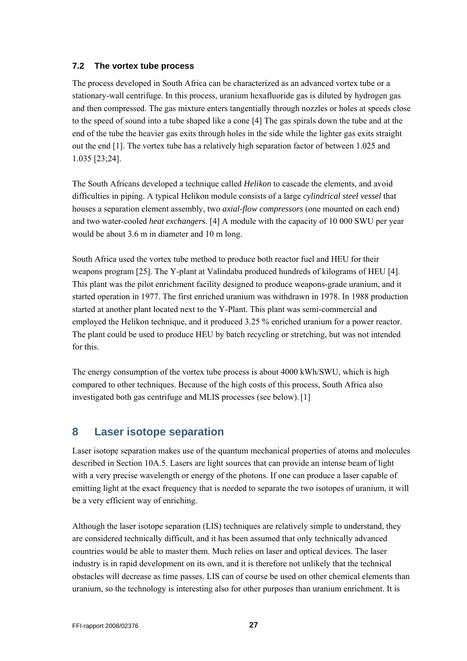#### <span id="page-26-0"></span>**7.2 The vortex tube process**

The process developed in South Africa can be characterized as an advanced vortex tube or a stationary-wall centrifuge. In this process, uranium hexafluoride gas is diluted by hydrogen gas and then compressed. The gas mixture enters tangentially through nozzles or holes at speeds close to the speed of sound into a tube shaped like a cone [4] The gas spirals down the tube and at the end of the tube the heavier gas exits through holes in the side while the lighter gas exits straight out the end [1]. The vortex tube has a relatively high separation factor of between 1.025 and 1.035 [23;24].

The South Africans developed a technique called *Helikon* to cascade the elements, and avoid difficulties in piping. A typical Helikon module consists of a large *cylindrical steel vessel* that houses a separation element assembly, two *axial-flow compressors* (one mounted on each end) and two water-cooled *heat exchangers*. [4] A module with the capacity of 10 000 SWU per year would be about 3.6 m in diameter and 10 m long.

South Africa used the vortex tube method to produce both reactor fuel and HEU for their weapons program [25]. The Y-plant at Valindaba produced hundreds of kilograms of HEU [4]. This plant was the pilot enrichment facility designed to produce weapons-grade uranium, and it started operation in 1977. The first enriched uranium was withdrawn in 1978. In 1988 production started at another plant located next to the Y-Plant. This plant was semi-commercial and employed the Helikon technique, and it produced 3.25 % enriched uranium for a power reactor. The plant could be used to produce HEU by batch recycling or stretching, but was not intended for this.

The energy consumption of the vortex tube process is about 4000 kWh/SWU, which is high compared to other techniques. Because of the high costs of this process, South Africa also investigated both gas centrifuge and MLIS processes (see below).[1]

# **8 Laser isotope separation**

Laser isotope separation makes use of the quantum mechanical properties of atoms and molecules described in Section [10A.5](#page-42-2). Lasers are light sources that can provide an intense beam of light with a very precise wavelength or energy of the photons. If one can produce a laser capable of emitting light at the exact frequency that is needed to separate the two isotopes of uranium, it will be a very efficient way of enriching.

Although the laser isotope separation (LIS) techniques are relatively simple to understand, they are considered technically difficult, and it has been assumed that only technically advanced countries would be able to master them. Much relies on laser and optical devices. The laser industry is in rapid development on its own, and it is therefore not unlikely that the technical obstacles will decrease as time passes. LIS can of course be used on other chemical elements than uranium, so the technology is interesting also for other purposes than uranium enrichment. It is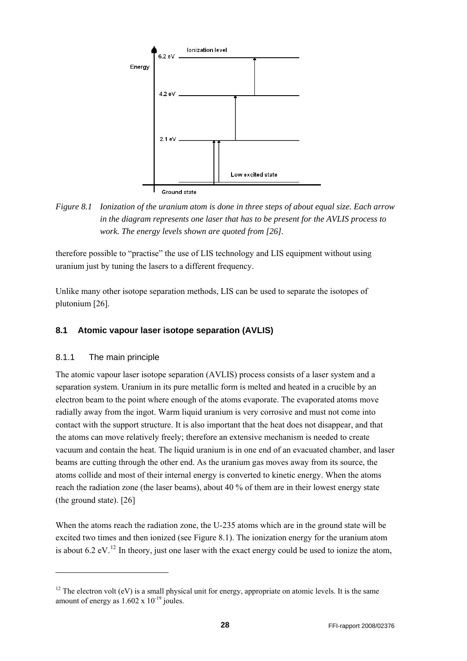<span id="page-27-0"></span>

<span id="page-27-2"></span>*Figure 8.1 Ionization of the uranium atom is done in three steps of about equal size. Each arrow in the diagram represents one laser that has to be present for the AVLIS process to work. The energy levels shown are quoted from [26].* 

therefore possible to "practise" the use of LIS technology and LIS equipment without using uranium just by tuning the lasers to a different frequency.

Unlike many other isotope separation methods, LIS can be used to separate the isotopes of plutonium [26].

### <span id="page-27-3"></span>**8.1 Atomic vapour laser isotope separation (AVLIS)**

#### 8.1.1 The main principle

-

The atomic vapour laser isotope separation (AVLIS) process consists of a laser system and a separation system. Uranium in its pure metallic form is melted and heated in a crucible by an electron beam to the point where enough of the atoms evaporate. The evaporated atoms move radially away from the ingot. Warm liquid uranium is very corrosive and must not come into contact with the support structure. It is also important that the heat does not disappear, and that the atoms can move relatively freely; therefore an extensive mechanism is needed to create vacuum and contain the heat. The liquid uranium is in one end of an evacuated chamber, and laser beams are cutting through the other end. As the uranium gas moves away from its source, the atoms collide and most of their internal energy is converted to kinetic energy. When the atoms reach the radiation zone (the laser beams), about 40 % of them are in their lowest energy state (the ground state). [26]

When the atoms reach the radiation zone, the U-235 atoms which are in the ground state will be excited two times and then ionized (see [Figure 8.1](#page-27-2)). The ionization energy for the uranium atom is about 6.2 eV.<sup>[12](#page-27-1)</sup> In theory, just one laser with the exact energy could be used to ionize the atom,

<span id="page-27-1"></span><sup>&</sup>lt;sup>12</sup> The electron volt (eV) is a small physical unit for energy, appropriate on atomic levels. It is the same amount of energy as  $1.602 \times 10^{-19}$  joules.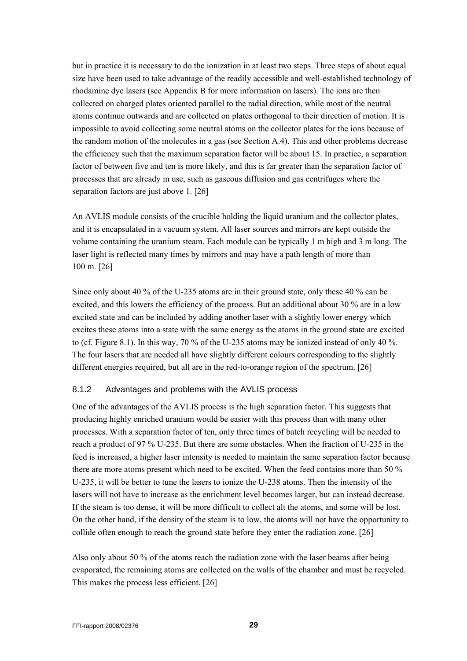<span id="page-28-0"></span>but in practice it is necessary to do the ionization in at least two steps. Three steps of about equal size have been used to take advantage of the readily accessible and well-established technology of rhodamine dye lasers (see [Appendix B](#page-44-1) for more information on lasers). The ions are then collected on charged plates oriented parallel to the radial direction, while most of the neutral atoms continue outwards and are collected on plates orthogonal to their direction of motion. It is impossible to avoid collecting some neutral atoms on the collector plates for the ions because of the random motion of the molecules in a gas (see Section [A.4\)](#page-42-1). This and other problems decrease the efficiency such that the maximum separation factor will be about 15. In practice, a separation factor of between five and ten is more likely, and this is far greater than the separation factor of processes that are already in use, such as gaseous diffusion and gas centrifuges where the separation factors are just above 1. [26]

An AVLIS module consists of the crucible holding the liquid uranium and the collector plates, and it is encapsulated in a vacuum system. All laser sources and mirrors are kept outside the volume containing the uranium steam. Each module can be typically 1 m high and 3 m long. The laser light is reflected many times by mirrors and may have a path length of more than 100 m. [26]

Since only about 40 % of the U-235 atoms are in their ground state, only these 40 % can be excited, and this lowers the efficiency of the process. But an additional about 30 % are in a low excited state and can be included by adding another laser with a slightly lower energy which excites these atoms into a state with the same energy as the atoms in the ground state are excited to (cf. [Figure 8.1](#page-27-2)). In this way, 70 % of the U-235 atoms may be ionized instead of only 40 %. The four lasers that are needed all have slightly different colours corresponding to the slightly different energies required, but all are in the red-to-orange region of the spectrum. [26]

#### 8.1.2 Advantages and problems with the AVLIS process

One of the advantages of the AVLIS process is the high separation factor. This suggests that producing highly enriched uranium would be easier with this process than with many other processes. With a separation factor of ten, only three times of batch recycling will be needed to reach a product of 97 % U-235. But there are some obstacles. When the fraction of U-235 in the feed is increased, a higher laser intensity is needed to maintain the same separation factor because there are more atoms present which need to be excited. When the feed contains more than 50 % U-235, it will be better to tune the lasers to ionize the U-238 atoms. Then the intensity of the lasers will not have to increase as the enrichment level becomes larger, but can instead decrease. If the steam is too dense, it will be more difficult to collect alt the atoms, and some will be lost. On the other hand, if the density of the steam is to low, the atoms will not have the opportunity to collide often enough to reach the ground state before they enter the radiation zone. [26]

Also only about 50 % of the atoms reach the radiation zone with the laser beams after being evaporated, the remaining atoms are collected on the walls of the chamber and must be recycled. This makes the process less efficient. [26]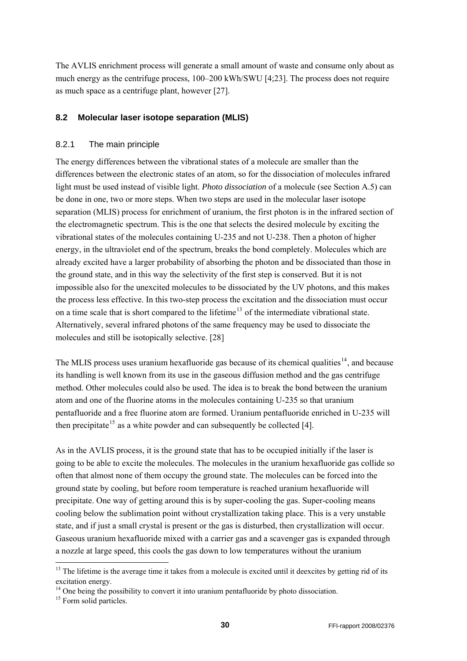<span id="page-29-0"></span>The AVLIS enrichment process will generate a small amount of waste and consume only about as much energy as the centrifuge process, 100–200 kWh/SWU [4;23]. The process does not require as much space as a centrifuge plant, however [27].

#### <span id="page-29-4"></span>**8.2 Molecular laser isotope separation (MLIS)**

#### 8.2.1 The main principle

The energy differences between the vibrational states of a molecule are smaller than the differences between the electronic states of an atom, so for the dissociation of molecules infrared light must be used instead of visible light. *Photo dissociation* of a molecule (see Section [A.5](#page-42-2)) can be done in one, two or more steps. When two steps are used in the molecular laser isotope separation (MLIS) process for enrichment of uranium, the first photon is in the infrared section of the electromagnetic spectrum. This is the one that selects the desired molecule by exciting the vibrational states of the molecules containing U-235 and not U-238. Then a photon of higher energy, in the ultraviolet end of the spectrum, breaks the bond completely. Molecules which are already excited have a larger probability of absorbing the photon and be dissociated than those in the ground state, and in this way the selectivity of the first step is conserved. But it is not impossible also for the unexcited molecules to be dissociated by the UV photons, and this makes the process less effective. In this two-step process the excitation and the dissociation must occur on a time scale that is short compared to the lifetime<sup>[13](#page-29-1)</sup> of the intermediate vibrational state. Alternatively, several infrared photons of the same frequency may be used to dissociate the molecules and still be isotopically selective. [28]

The MLIS process uses uranium hexafluoride gas because of its chemical qualities<sup>[14](#page-29-2)</sup>, and because its handling is well known from its use in the gaseous diffusion method and the gas centrifuge method. Other molecules could also be used. The idea is to break the bond between the uranium atom and one of the fluorine atoms in the molecules containing U-235 so that uranium pentafluoride and a free fluorine atom are formed. Uranium pentafluoride enriched in U-235 will then precipitate<sup>[15](#page-29-3)</sup> as a white powder and can subsequently be collected [4].

As in the AVLIS process, it is the ground state that has to be occupied initially if the laser is going to be able to excite the molecules. The molecules in the uranium hexafluoride gas collide so often that almost none of them occupy the ground state. The molecules can be forced into the ground state by cooling, but before room temperature is reached uranium hexafluoride will precipitate. One way of getting around this is by super-cooling the gas. Super-cooling means cooling below the sublimation point without crystallization taking place. This is a very unstable state, and if just a small crystal is present or the gas is disturbed, then crystallization will occur. Gaseous uranium hexafluoride mixed with a carrier gas and a scavenger gas is expanded through a nozzle at large speed, this cools the gas down to low temperatures without the uranium

-

<span id="page-29-1"></span><sup>&</sup>lt;sup>13</sup> The lifetime is the average time it takes from a molecule is excited until it deexcites by getting rid of its excitation energy.

<span id="page-29-2"></span> $14$  One being the possibility to convert it into uranium pentafluoride by photo dissociation.

<span id="page-29-3"></span><sup>&</sup>lt;sup>15</sup> Form solid particles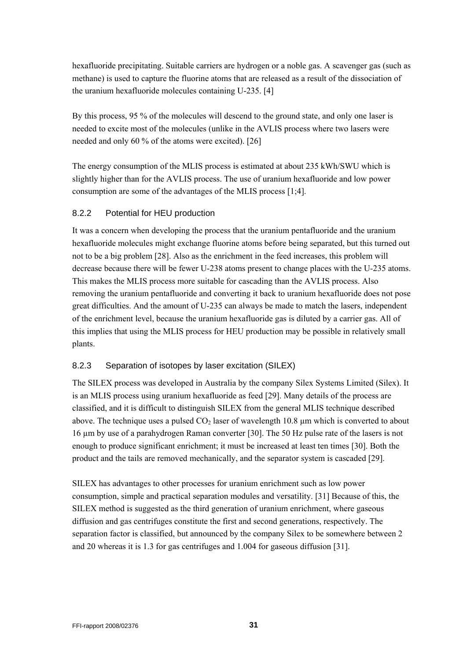<span id="page-30-0"></span>hexafluoride precipitating. Suitable carriers are hydrogen or a noble gas. A scavenger gas (such as methane) is used to capture the fluorine atoms that are released as a result of the dissociation of the uranium hexafluoride molecules containing U-235. [4]

By this process, 95 % of the molecules will descend to the ground state, and only one laser is needed to excite most of the molecules (unlike in the AVLIS process where two lasers were needed and only 60 % of the atoms were excited). [26]

The energy consumption of the MLIS process is estimated at about 235 kWh/SWU which is slightly higher than for the AVLIS process. The use of uranium hexafluoride and low power consumption are some of the advantages of the MLIS process [1;4].

#### 8.2.2 Potential for HEU production

It was a concern when developing the process that the uranium pentafluoride and the uranium hexafluoride molecules might exchange fluorine atoms before being separated, but this turned out not to be a big problem [28]. Also as the enrichment in the feed increases, this problem will decrease because there will be fewer U-238 atoms present to change places with the U-235 atoms. This makes the MLIS process more suitable for cascading than the AVLIS process. Also removing the uranium pentafluoride and converting it back to uranium hexafluoride does not pose great difficulties. And the amount of U-235 can always be made to match the lasers, independent of the enrichment level, because the uranium hexafluoride gas is diluted by a carrier gas. All of this implies that using the MLIS process for HEU production may be possible in relatively small plants.

#### <span id="page-30-1"></span>8.2.3 Separation of isotopes by laser excitation (SILEX)

The SILEX process was developed in Australia by the company Silex Systems Limited (Silex). It is an MLIS process using uranium hexafluoride as feed [29]. Many details of the process are classified, and it is difficult to distinguish SILEX from the general MLIS technique described above. The technique uses a pulsed  $CO<sub>2</sub>$  laser of wavelength 10.8  $\mu$ m which is converted to about 16 µm by use of a parahydrogen Raman converter [30]. The 50 Hz pulse rate of the lasers is not enough to produce significant enrichment; it must be increased at least ten times [30]. Both the product and the tails are removed mechanically, and the separator system is cascaded [29].

SILEX has advantages to other processes for uranium enrichment such as low power consumption, simple and practical separation modules and versatility. [31] Because of this, the SILEX method is suggested as the third generation of uranium enrichment, where gaseous diffusion and gas centrifuges constitute the first and second generations, respectively. The separation factor is classified, but announced by the company Silex to be somewhere between 2 and 20 whereas it is 1.3 for gas centrifuges and 1.004 for gaseous diffusion [31].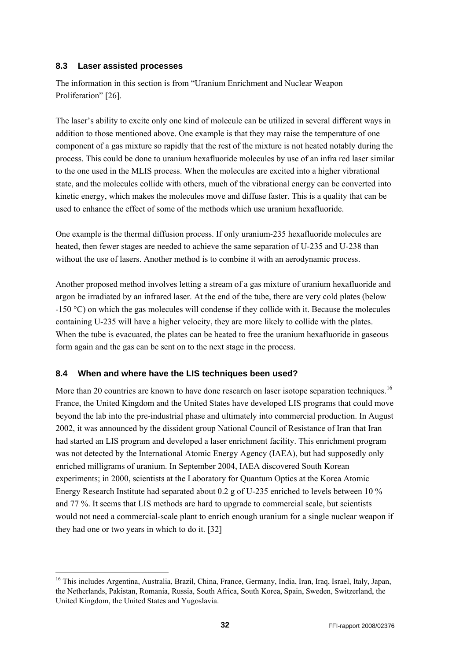#### <span id="page-31-0"></span>**8.3 Laser assisted processes**

The information in this section is from "Uranium Enrichment and Nuclear Weapon Proliferation" [26].

The laser's ability to excite only one kind of molecule can be utilized in several different ways in addition to those mentioned above. One example is that they may raise the temperature of one component of a gas mixture so rapidly that the rest of the mixture is not heated notably during the process. This could be done to uranium hexafluoride molecules by use of an infra red laser similar to the one used in the MLIS process. When the molecules are excited into a higher vibrational state, and the molecules collide with others, much of the vibrational energy can be converted into kinetic energy, which makes the molecules move and diffuse faster. This is a quality that can be used to enhance the effect of some of the methods which use uranium hexafluoride.

One example is the thermal diffusion process. If only uranium-235 hexafluoride molecules are heated, then fewer stages are needed to achieve the same separation of U-235 and U-238 than without the use of lasers. Another method is to combine it with an aerodynamic process.

Another proposed method involves letting a stream of a gas mixture of uranium hexafluoride and argon be irradiated by an infrared laser. At the end of the tube, there are very cold plates (below -150 °C) on which the gas molecules will condense if they collide with it. Because the molecules containing U-235 will have a higher velocity, they are more likely to collide with the plates. When the tube is evacuated, the plates can be heated to free the uranium hexafluoride in gaseous form again and the gas can be sent on to the next stage in the process.

## **8.4 When and where have the LIS techniques been used?**

1

More than 20 countries are known to have done research on laser isotope separation techniques.<sup>[16](#page-31-1)</sup> France, the United Kingdom and the United States have developed LIS programs that could move beyond the lab into the pre-industrial phase and ultimately into commercial production. In August 2002, it was announced by the dissident group National Council of Resistance of Iran that Iran had started an LIS program and developed a laser enrichment facility. This enrichment program was not detected by the International Atomic Energy Agency (IAEA), but had supposedly only enriched milligrams of uranium. In September 2004, IAEA discovered South Korean experiments; in 2000, scientists at the Laboratory for Quantum Optics at the Korea Atomic Energy Research Institute had separated about 0.2 g of U-235 enriched to levels between 10 % and 77 %. It seems that LIS methods are hard to upgrade to commercial scale, but scientists would not need a commercial-scale plant to enrich enough uranium for a single nuclear weapon if they had one or two years in which to do it. [32]

<span id="page-31-1"></span><sup>&</sup>lt;sup>16</sup> This includes Argentina, Australia, Brazil, China, France, Germany, India, Iran, Iraq, Israel, Italy, Japan, the Netherlands, Pakistan, Romania, Russia, South Africa, South Korea, Spain, Sweden, Switzerland, the United Kingdom, the United States and Yugoslavia.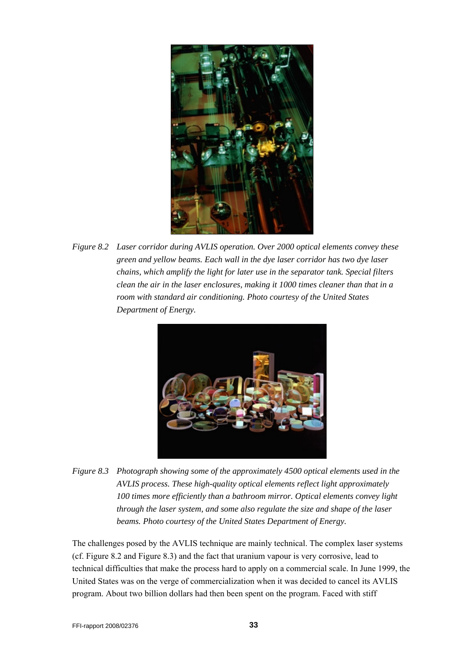

<span id="page-32-0"></span>*Figure 8.2 Laser corridor during AVLIS operation. Over 2000 optical elements convey these green and yellow beams. Each wall in the dye laser corridor has two dye laser chains, which amplify the light for later use in the separator tank. Special filters clean the air in the laser enclosures, making it 1000 times cleaner than that in a room with standard air conditioning. Photo courtesy of the United States Department of Energy.* 



<span id="page-32-1"></span>*Figure 8.3 Photograph showing some of the approximately 4500 optical elements used in the AVLIS process. These high-quality optical elements reflect light approximately 100 times more efficiently than a bathroom mirror. Optical elements convey light through the laser system, and some also regulate the size and shape of the laser beams. Photo courtesy of the United States Department of Energy.* 

The challenges posed by the AVLIS technique are mainly technical. The complex laser systems (cf. [Figure 8.2](#page-32-0) and [Figure 8.3\)](#page-32-1) and the fact that uranium vapour is very corrosive, lead to technical difficulties that make the process hard to apply on a commercial scale. In June 1999, the United States was on the verge of commercialization when it was decided to cancel its AVLIS program. About two billion dollars had then been spent on the program. Faced with stiff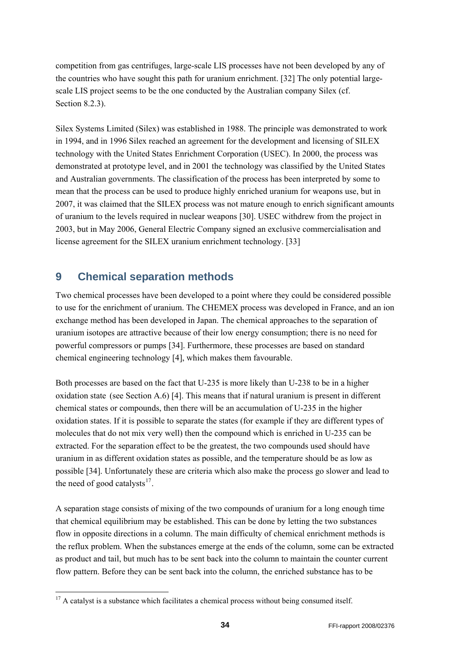<span id="page-33-0"></span>competition from gas centrifuges, large-scale LIS processes have not been developed by any of the countries who have sought this path for uranium enrichment. [32] The only potential largescale LIS project seems to be the one conducted by the Australian company Silex (cf. Section [8.2.3\)](#page-30-1).

Silex Systems Limited (Silex) was established in 1988. The principle was demonstrated to work in 1994, and in 1996 Silex reached an agreement for the development and licensing of SILEX technology with the United States Enrichment Corporation (USEC). In 2000, the process was demonstrated at prototype level, and in 2001 the technology was classified by the United States and Australian governments. The classification of the process has been interpreted by some to mean that the process can be used to produce highly enriched uranium for weapons use, but in 2007, it was claimed that the SILEX process was not mature enough to enrich significant amounts of uranium to the levels required in nuclear weapons [30]. USEC withdrew from the project in 2003, but in May 2006, General Electric Company signed an exclusive commercialisation and license agreement for the SILEX uranium enrichment technology. [33]

# **9 Chemical separation methods**

Two chemical processes have been developed to a point where they could be considered possible to use for the enrichment of uranium. The CHEMEX process was developed in France, and an ion exchange method has been developed in Japan. The chemical approaches to the separation of uranium isotopes are attractive because of their low energy consumption; there is no need for powerful compressors or pumps [34]. Furthermore, these processes are based on standard chemical engineering technology [4], which makes them favourable.

Both processes are based on the fact that U-235 is more likely than U-238 to be in a higher oxidation state (see Section [A.6](#page-43-1)) [4]. This means that if natural uranium is present in different chemical states or compounds, then there will be an accumulation of U-235 in the higher oxidation states. If it is possible to separate the states (for example if they are different types of molecules that do not mix very well) then the compound which is enriched in U-235 can be extracted. For the separation effect to be the greatest, the two compounds used should have uranium in as different oxidation states as possible, and the temperature should be as low as possible [34]. Unfortunately these are criteria which also make the process go slower and lead to the need of good catalysts $^{17}$  $^{17}$  $^{17}$ .

A separation stage consists of mixing of the two compounds of uranium for a long enough time that chemical equilibrium may be established. This can be done by letting the two substances flow in opposite directions in a column. The main difficulty of chemical enrichment methods is the reflux problem. When the substances emerge at the ends of the column, some can be extracted as product and tail, but much has to be sent back into the column to maintain the counter current flow pattern. Before they can be sent back into the column, the enriched substance has to be

-

<span id="page-33-1"></span><sup>&</sup>lt;sup>17</sup> A catalyst is a substance which facilitates a chemical process without being consumed itself.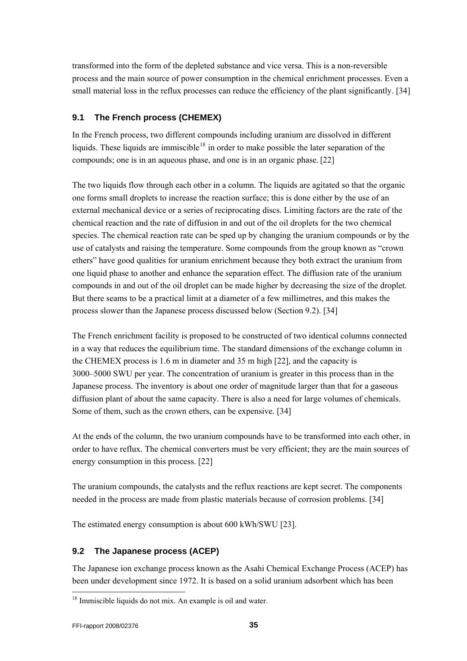<span id="page-34-0"></span>transformed into the form of the depleted substance and vice versa. This is a non-reversible process and the main source of power consumption in the chemical enrichment processes. Even a small material loss in the reflux processes can reduce the efficiency of the plant significantly. [34]

## **9.1 The French process (CHEMEX)**

In the French process, two different compounds including uranium are dissolved in different liquids. These liquids are immiscible<sup>[18](#page-34-1)</sup> in order to make possible the later separation of the compounds; one is in an aqueous phase, and one is in an organic phase.[22]

The two liquids flow through each other in a column. The liquids are agitated so that the organic one forms small droplets to increase the reaction surface; this is done either by the use of an external mechanical device or a series of reciprocating discs. Limiting factors are the rate of the chemical reaction and the rate of diffusion in and out of the oil droplets for the two chemical species. The chemical reaction rate can be sped up by changing the uranium compounds or by the use of catalysts and raising the temperature. Some compounds from the group known as "crown ethers" have good qualities for uranium enrichment because they both extract the uranium from one liquid phase to another and enhance the separation effect. The diffusion rate of the uranium compounds in and out of the oil droplet can be made higher by decreasing the size of the droplet. But there seams to be a practical limit at a diameter of a few millimetres, and this makes the process slower than the Japanese process discussed below (Section [9.2](#page-34-2)). [34]

The French enrichment facility is proposed to be constructed of two identical columns connected in a way that reduces the equilibrium time. The standard dimensions of the exchange column in the CHEMEX process is 1.6 m in diameter and 35 m high [22], and the capacity is 3000–5000 SWU per year. The concentration of uranium is greater in this process than in the Japanese process. The inventory is about one order of magnitude larger than that for a gaseous diffusion plant of about the same capacity. There is also a need for large volumes of chemicals. Some of them, such as the crown ethers, can be expensive. [34]

At the ends of the column, the two uranium compounds have to be transformed into each other, in order to have reflux. The chemical converters must be very efficient; they are the main sources of energy consumption in this process. [22]

The uranium compounds, the catalysts and the reflux reactions are kept secret. The components needed in the process are made from plastic materials because of corrosion problems. [34]

The estimated energy consumption is about 600 kWh/SWU [23].

## <span id="page-34-2"></span>**9.2 The Japanese process (ACEP)**

The Japanese ion exchange process known as the Asahi Chemical Exchange Process (ACEP) has been under development since 1972. It is based on a solid uranium adsorbent which has been

l

<span id="page-34-1"></span> $18$  Immiscible liquids do not mix. An example is oil and water.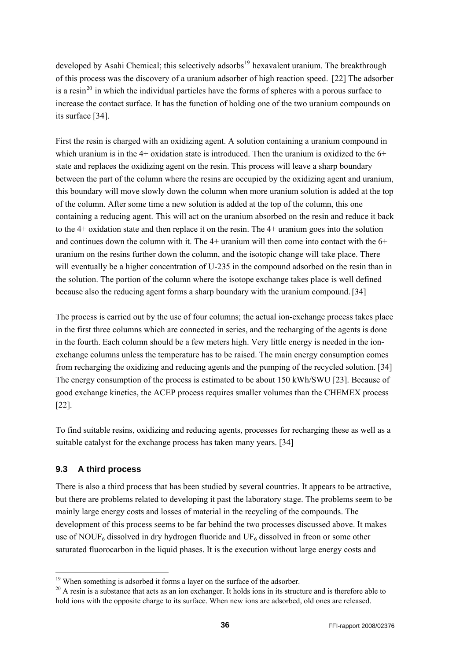<span id="page-35-0"></span>developed by Asahi Chemical; this selectively adsorbs<sup>[19](#page-35-1)</sup> hexavalent uranium. The breakthrough of this process was the discovery of a uranium adsorber of high reaction speed. [22] The adsorber is a resin<sup>[20](#page-35-2)</sup> in which the individual particles have the forms of spheres with a porous surface to increase the contact surface. It has the function of holding one of the two uranium compounds on its surface [34].

First the resin is charged with an oxidizing agent. A solution containing a uranium compound in which uranium is in the 4+ oxidation state is introduced. Then the uranium is oxidized to the 6+ state and replaces the oxidizing agent on the resin. This process will leave a sharp boundary between the part of the column where the resins are occupied by the oxidizing agent and uranium, this boundary will move slowly down the column when more uranium solution is added at the top of the column. After some time a new solution is added at the top of the column, this one containing a reducing agent. This will act on the uranium absorbed on the resin and reduce it back to the 4+ oxidation state and then replace it on the resin. The 4+ uranium goes into the solution and continues down the column with it. The 4+ uranium will then come into contact with the 6+ uranium on the resins further down the column, and the isotopic change will take place. There will eventually be a higher concentration of U-235 in the compound adsorbed on the resin than in the solution. The portion of the column where the isotope exchange takes place is well defined because also the reducing agent forms a sharp boundary with the uranium compound.[34]

The process is carried out by the use of four columns; the actual ion-exchange process takes place in the first three columns which are connected in series, and the recharging of the agents is done in the fourth. Each column should be a few meters high. Very little energy is needed in the ionexchange columns unless the temperature has to be raised. The main energy consumption comes from recharging the oxidizing and reducing agents and the pumping of the recycled solution. [34] The energy consumption of the process is estimated to be about 150 kWh/SWU [23]. Because of good exchange kinetics, the ACEP process requires smaller volumes than the CHEMEX process [22].

To find suitable resins, oxidizing and reducing agents, processes for recharging these as well as a suitable catalyst for the exchange process has taken many years. [34]

## **9.3 A third process**

1

There is also a third process that has been studied by several countries. It appears to be attractive, but there are problems related to developing it past the laboratory stage. The problems seem to be mainly large energy costs and losses of material in the recycling of the compounds. The development of this process seems to be far behind the two processes discussed above. It makes use of NOUF<sub>6</sub> dissolved in dry hydrogen fluoride and UF<sub>6</sub> dissolved in freon or some other saturated fluorocarbon in the liquid phases. It is the execution without large energy costs and

<span id="page-35-2"></span><span id="page-35-1"></span><sup>&</sup>lt;sup>19</sup> When something is adsorbed it forms a layer on the surface of the adsorber.<br><sup>20</sup> A resin is a substance that acts as an ion exchanger. It holds ions in its structure and is therefore able to hold ions with the opposite charge to its surface. When new ions are adsorbed, old ones are released.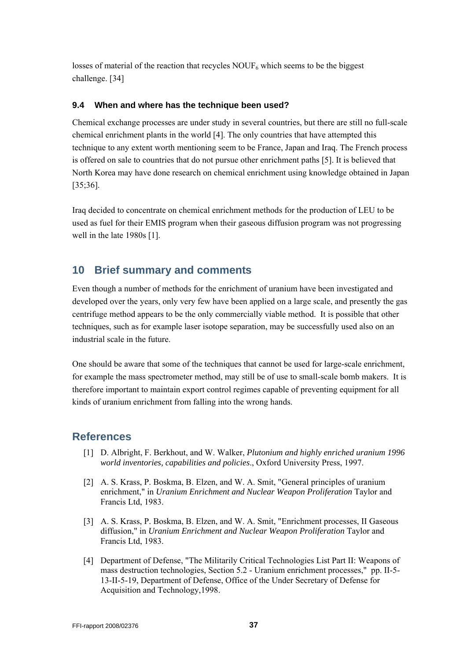<span id="page-36-0"></span>losses of material of the reaction that recycles  $\text{NOUF}_6$  which seems to be the biggest challenge. [34]

#### **9.4 When and where has the technique been used?**

Chemical exchange processes are under study in several countries, but there are still no full-scale chemical enrichment plants in the world [4]. The only countries that have attempted this technique to any extent worth mentioning seem to be France, Japan and Iraq. The French process is offered on sale to countries that do not pursue other enrichment paths [5]. It is believed that North Korea may have done research on chemical enrichment using knowledge obtained in Japan [35;36].

Iraq decided to concentrate on chemical enrichment methods for the production of LEU to be used as fuel for their EMIS program when their gaseous diffusion program was not progressing well in the late 1980s [1].

# **10 Brief summary and comments**

Even though a number of methods for the enrichment of uranium have been investigated and developed over the years, only very few have been applied on a large scale, and presently the gas centrifuge method appears to be the only commercially viable method. It is possible that other techniques, such as for example laser isotope separation, may be successfully used also on an industrial scale in the future.

One should be aware that some of the techniques that cannot be used for large-scale enrichment, for example the mass spectrometer method, may still be of use to small-scale bomb makers. It is therefore important to maintain export control regimes capable of preventing equipment for all kinds of uranium enrichment from falling into the wrong hands.

# **References**

- [1] D. Albright, F. Berkhout, and W. Walker, *Plutonium and highly enriched uranium 1996 world inventories, capabilities and policies*., Oxford University Press, 1997.
- [2] A. S. Krass, P. Boskma, B. Elzen, and W. A. Smit, "General principles of uranium enrichment," in *Uranium Enrichment and Nuclear Weapon Proliferation* Taylor and Francis Ltd, 1983.
- [3] A. S. Krass, P. Boskma, B. Elzen, and W. A. Smit, "Enrichment processes, II Gaseous diffusion," in *Uranium Enrichment and Nuclear Weapon Proliferation* Taylor and Francis Ltd, 1983.
- [4] Department of Defense, "The Militarily Critical Technologies List Part II: Weapons of mass destruction technologies, Section 5.2 - Uranium enrichment processes," pp. II-5- 13-II-5-19, Department of Defense, Office of the Under Secretary of Defense for Acquisition and Technology,1998.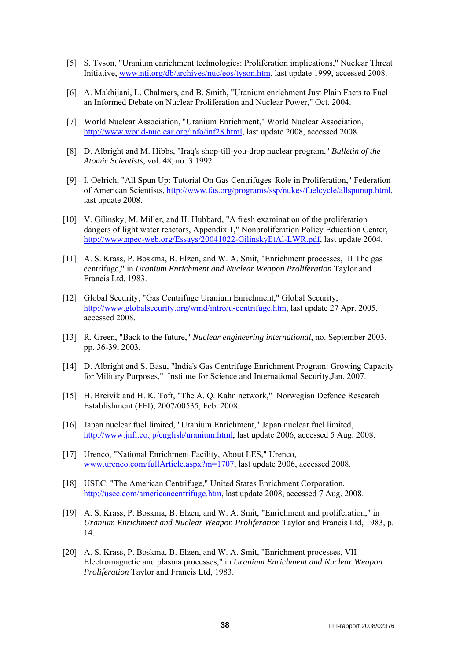- [5] S. Tyson, "Uranium enrichment technologies: Proliferation implications," Nuclear Threat Initiative, [www.nti.org/db/archives/nuc/eos/tyson.htm,](http://www.nti.org/db/archives/nuc/eos/tyson.htm) last update 1999, accessed 2008.
- [6] A. Makhijani, L. Chalmers, and B. Smith, "Uranium enrichment Just Plain Facts to Fuel an Informed Debate on Nuclear Proliferation and Nuclear Power," Oct. 2004.
- [7] World Nuclear Association, "Uranium Enrichment," World Nuclear Association, [http://www.world-nuclear.org/info/inf28.html,](http://www.world-nuclear.org/info/inf28.html) last update 2008, accessed 2008.
- [8] D. Albright and M. Hibbs, "Iraq's shop-till-you-drop nuclear program," *Bulletin of the Atomic Scientists*, vol. 48, no. 3 1992.
- [9] I. Oelrich, "All Spun Up: Tutorial On Gas Centrifuges' Role in Proliferation," Federation of American Scientists, <http://www.fas.org/programs/ssp/nukes/fuelcycle/allspunup.html>, last update 2008.
- [10] V. Gilinsky, M. Miller, and H. Hubbard, "A fresh examination of the proliferation dangers of light water reactors, Appendix 1," Nonproliferation Policy Education Center, [http://www.npec-web.org/Essays/20041022-GilinskyEtAl-LWR.pdf,](http://www.npec-web.org/Essays/20041022-GilinskyEtAl-LWR.pdf) last update 2004.
- [11] A. S. Krass, P. Boskma, B. Elzen, and W. A. Smit, "Enrichment processes, III The gas centrifuge," in *Uranium Enrichment and Nuclear Weapon Proliferation* Taylor and Francis Ltd, 1983.
- [12] Global Security, "Gas Centrifuge Uranium Enrichment," Global Security, [http://www.globalsecurity.org/wmd/intro/u-centrifuge.htm,](http://www.globalsecurity.org/wmd/intro/u-centrifuge.htm) last update 27 Apr. 2005, accessed 2008.
- [13] R. Green, "Back to the future," *Nuclear engineering international*, no. September 2003, pp. 36-39, 2003.
- [14] D. Albright and S. Basu, "India's Gas Centrifuge Enrichment Program: Growing Capacity for Military Purposes," Institute for Science and International Security,Jan. 2007.
- [15] H. Breivik and H. K. Toft, "The A. Q. Kahn network," Norwegian Defence Research Establishment (FFI), 2007/00535, Feb. 2008.
- [16] Japan nuclear fuel limited, "Uranium Enrichment," Japan nuclear fuel limited, [http://www.jnfl.co.jp/english/uranium.html,](http://www.jnfl.co.jp/english/uranium.html) last update 2006, accessed 5 Aug. 2008.
- [17] Urenco, "National Enrichment Facility, About LES," Urenco, [www.urenco.com/fullArticle.aspx?m=1707,](http://www.urenco.com/fullArticle.aspx?m=1707) last update 2006, accessed 2008.
- [18] USEC, "The American Centrifuge," United States Enrichment Corporation, <http://usec.com/americancentrifuge.htm>, last update 2008, accessed 7 Aug. 2008.
- [19] A. S. Krass, P. Boskma, B. Elzen, and W. A. Smit, "Enrichment and proliferation," in *Uranium Enrichment and Nuclear Weapon Proliferation* Taylor and Francis Ltd, 1983, p. 14.
- [20] A. S. Krass, P. Boskma, B. Elzen, and W. A. Smit, "Enrichment processes, VII Electromagnetic and plasma processes," in *Uranium Enrichment and Nuclear Weapon Proliferation* Taylor and Francis Ltd, 1983.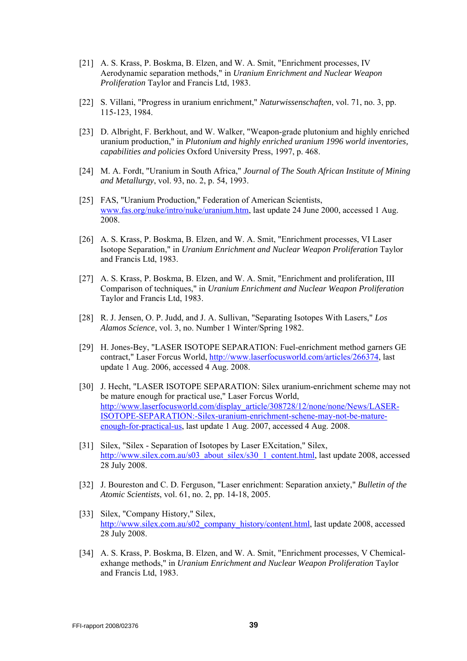- [21] A. S. Krass, P. Boskma, B. Elzen, and W. A. Smit, "Enrichment processes, IV Aerodynamic separation methods," in *Uranium Enrichment and Nuclear Weapon Proliferation* Taylor and Francis Ltd, 1983.
- [22] S. Villani, "Progress in uranium enrichment," *Naturwissenschaften*, vol. 71, no. 3, pp. 115-123, 1984.
- [23] D. Albright, F. Berkhout, and W. Walker, "Weapon-grade plutonium and highly enriched uranium production," in *Plutonium and highly enriched uranium 1996 world inventories, capabilities and policies* Oxford University Press, 1997, p. 468.
- [24] M. A. Fordt, "Uranium in South Africa," *Journal of The South African Institute of Mining and Metallurgy*, vol. 93, no. 2, p. 54, 1993.
- [25] FAS, "Uranium Production," Federation of American Scientists, [www.fas.org/nuke/intro/nuke/uranium.htm](http://www.fas.org/nuke/intro/nuke/uranium.htm), last update 24 June 2000, accessed 1 Aug. 2008.
- [26] A. S. Krass, P. Boskma, B. Elzen, and W. A. Smit, "Enrichment processes, VI Laser Isotope Separation," in *Uranium Enrichment and Nuclear Weapon Proliferation* Taylor and Francis Ltd, 1983.
- [27] A. S. Krass, P. Boskma, B. Elzen, and W. A. Smit, "Enrichment and proliferation, III Comparison of techniques," in *Uranium Enrichment and Nuclear Weapon Proliferation* Taylor and Francis Ltd, 1983.
- [28] R. J. Jensen, O. P. Judd, and J. A. Sullivan, "Separating Isotopes With Lasers," *Los Alamos Science*, vol. 3, no. Number 1 Winter/Spring 1982.
- [29] H. Jones-Bey, "LASER ISOTOPE SEPARATION: Fuel-enrichment method garners GE contract," Laser Forcus World, [http://www.laserfocusworld.com/articles/266374,](http://www.laserfocusworld.com/articles/266374) last update 1 Aug. 2006, accessed 4 Aug. 2008.
- [30] J. Hecht, "LASER ISOTOPE SEPARATION: Silex uranium-enrichment scheme may not be mature enough for practical use," Laser Forcus World, [http://www.laserfocusworld.com/display\\_article/308728/12/none/none/News/LASER-](http://www.laserfocusworld.com/display_article/308728/12/none/none/News/LASER-ISOTOPE-SEPARATION:-Silex-uranium-enrichment-schene-may-not-be-mature-enough-for-practical-us)[ISOTOPE-SEPARATION:-Silex-uranium-enrichment-schene-may-not-be-mature](http://www.laserfocusworld.com/display_article/308728/12/none/none/News/LASER-ISOTOPE-SEPARATION:-Silex-uranium-enrichment-schene-may-not-be-mature-enough-for-practical-us)[enough-for-practical-us,](http://www.laserfocusworld.com/display_article/308728/12/none/none/News/LASER-ISOTOPE-SEPARATION:-Silex-uranium-enrichment-schene-may-not-be-mature-enough-for-practical-us) last update 1 Aug. 2007, accessed 4 Aug. 2008.
- [31] Silex, "Silex Separation of Isotopes by Laser EXcitation," Silex, [http://www.silex.com.au/s03\\_about\\_silex/s30\\_1\\_content.html](http://www.silex.com.au/s03_about_silex/s30_1_content.html), last update 2008, accessed 28 July 2008.
- [32] J. Boureston and C. D. Ferguson, "Laser enrichment: Separation anxiety," *Bulletin of the Atomic Scientists*, vol. 61, no. 2, pp. 14-18, 2005.
- [33] Silex, "Company History," Silex, [http://www.silex.com.au/s02\\_company\\_history/content.html](http://www.silex.com.au/s02_company_history/content.html), last update 2008, accessed 28 July 2008.
- [34] A. S. Krass, P. Boskma, B. Elzen, and W. A. Smit, "Enrichment processes, V Chemicalexhange methods," in *Uranium Enrichment and Nuclear Weapon Proliferation* Taylor and Francis Ltd, 1983.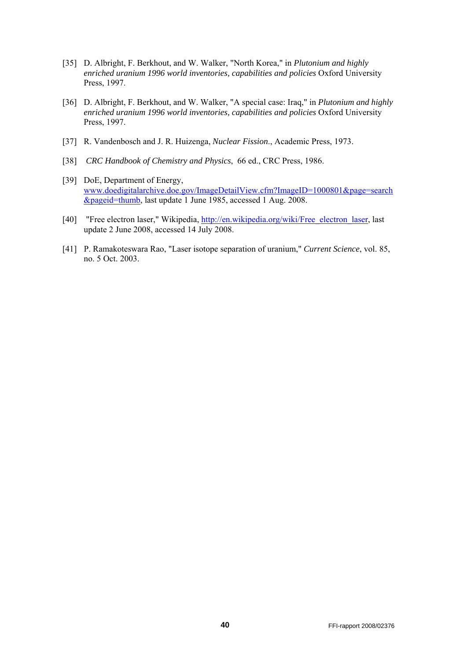- [35] D. Albright, F. Berkhout, and W. Walker, "North Korea," in *Plutonium and highly enriched uranium 1996 world inventories, capabilities and policies* Oxford University Press, 1997.
- [36] D. Albright, F. Berkhout, and W. Walker, "A special case: Iraq," in *Plutonium and highly enriched uranium 1996 world inventories, capabilities and policies* Oxford University Press, 1997.
- [37] R. Vandenbosch and J. R. Huizenga, *Nuclear Fission*., Academic Press, 1973.
- [38] *CRC Handbook of Chemistry and Physics*, 66 ed., CRC Press, 1986.
- [39] DoE, Department of Energy, [www.doedigitalarchive.doe.gov/ImageDetailView.cfm?ImageID=1000801&page=search](http://www.doedigitalarchive.doe.gov/ImageDetailView.cfm?ImageID=1000801&page=search&pageid=thumb) [&pageid=thumb](http://www.doedigitalarchive.doe.gov/ImageDetailView.cfm?ImageID=1000801&page=search&pageid=thumb), last update 1 June 1985, accessed 1 Aug. 2008.
- [40] "Free electron laser," Wikipedia, [http://en.wikipedia.org/wiki/Free\\_electron\\_laser](http://en.wikipedia.org/wiki/Free_electron_laser), last update 2 June 2008, accessed 14 July 2008.
- [41] P. Ramakoteswara Rao, "Laser isotope separation of uranium," *Current Science*, vol. 85, no. 5 Oct. 2003.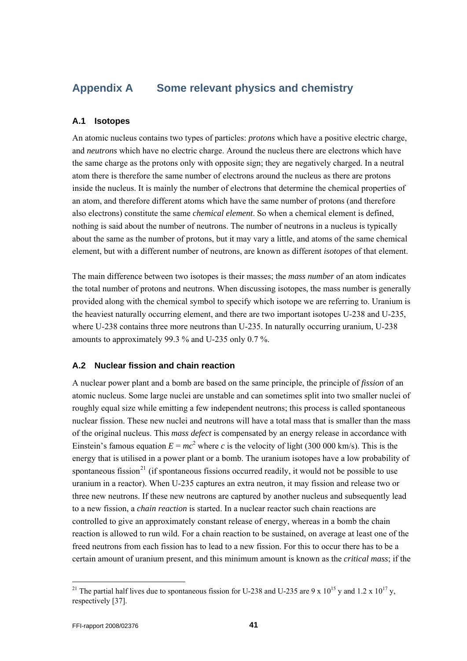# <span id="page-40-1"></span><span id="page-40-0"></span>**Appendix A Some relevant physics and chemistry**

#### <span id="page-40-2"></span>**A.1 Isotopes**

An atomic nucleus contains two types of particles: *protons* which have a positive electric charge, and *neutrons* which have no electric charge. Around the nucleus there are electrons which have the same charge as the protons only with opposite sign; they are negatively charged. In a neutral atom there is therefore the same number of electrons around the nucleus as there are protons inside the nucleus. It is mainly the number of electrons that determine the chemical properties of an atom, and therefore different atoms which have the same number of protons (and therefore also electrons) constitute the same *chemical element*. So when a chemical element is defined, nothing is said about the number of neutrons. The number of neutrons in a nucleus is typically about the same as the number of protons, but it may vary a little, and atoms of the same chemical element, but with a different number of neutrons, are known as different *isotopes* of that element.

The main difference between two isotopes is their masses; the *mass number* of an atom indicates the total number of protons and neutrons. When discussing isotopes, the mass number is generally provided along with the chemical symbol to specify which isotope we are referring to. Uranium is the heaviest naturally occurring element, and there are two important isotopes U-238 and U-235, where U-238 contains three more neutrons than U-235. In naturally occurring uranium, U-238 amounts to approximately 99.3 % and U-235 only 0.7 %.

#### <span id="page-40-3"></span>**A.2 Nuclear fission and chain reaction**

A nuclear power plant and a bomb are based on the same principle, the principle of *fission* of an atomic nucleus. Some large nuclei are unstable and can sometimes split into two smaller nuclei of roughly equal size while emitting a few independent neutrons; this process is called spontaneous nuclear fission. These new nuclei and neutrons will have a total mass that is smaller than the mass of the original nucleus. This *mass defect* is compensated by an energy release in accordance with Einstein's famous equation  $E = mc^2$  where *c* is the velocity of light (300 000 km/s). This is the energy that is utilised in a power plant or a bomb. The uranium isotopes have a low probability of spontaneous fission<sup>[21](#page-40-4)</sup> (if spontaneous fissions occurred readily, it would not be possible to use uranium in a reactor). When U-235 captures an extra neutron, it may fission and release two or three new neutrons. If these new neutrons are captured by another nucleus and subsequently lead to a new fission, a *chain reaction* is started. In a nuclear reactor such chain reactions are controlled to give an approximately constant release of energy, whereas in a bomb the chain reaction is allowed to run wild. For a chain reaction to be sustained, on average at least one of the freed neutrons from each fission has to lead to a new fission. For this to occur there has to be a certain amount of uranium present, and this minimum amount is known as the *critical mass*; if the

l

<span id="page-40-4"></span><sup>&</sup>lt;sup>21</sup> The partial half lives due to spontaneous fission for U-238 and U-235 are 9 x 10<sup>15</sup> y and 1.2 x 10<sup>17</sup> y, respectively [37].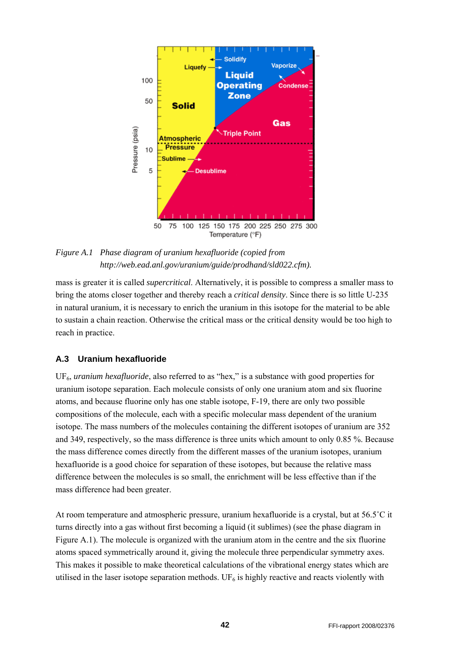<span id="page-41-0"></span>

*Figure A.1 Phase diagram of uranium hexafluoride (copied from http://web.ead.anl.gov/uranium/guide/prodhand/sld022.cfm).* 

mass is greater it is called *supercritical*. Alternatively, it is possible to compress a smaller mass to bring the atoms closer together and thereby reach a *critical density*. Since there is so little U-235 in natural uranium, it is necessary to enrich the uranium in this isotope for the material to be able to sustain a chain reaction. Otherwise the critical mass or the critical density would be too high to reach in practice.

#### <span id="page-41-1"></span>**A.3 Uranium hexafluoride**

UF6, *uranium hexafluoride*, also referred to as "hex," is a substance with good properties for uranium isotope separation. Each molecule consists of only one uranium atom and six fluorine atoms, and because fluorine only has one stable isotope, F-19, there are only two possible compositions of the molecule, each with a specific molecular mass dependent of the uranium isotope. The mass numbers of the molecules containing the different isotopes of uranium are 352 and 349, respectively, so the mass difference is three units which amount to only 0.85 %. Because the mass difference comes directly from the different masses of the uranium isotopes, uranium hexafluoride is a good choice for separation of these isotopes, but because the relative mass difference between the molecules is so small, the enrichment will be less effective than if the mass difference had been greater.

At room temperature and atmospheric pressure, uranium hexafluoride is a crystal, but at 56.5˚C it turns directly into a gas without first becoming a liquid (it sublimes) (see the phase diagram in Figure A.1). The molecule is organized with the uranium atom in the centre and the six fluorine atoms spaced symmetrically around it, giving the molecule three perpendicular symmetry axes. This makes it possible to make theoretical calculations of the vibrational energy states which are utilised in the laser isotope separation methods. UF<sub>6</sub> is highly reactive and reacts violently with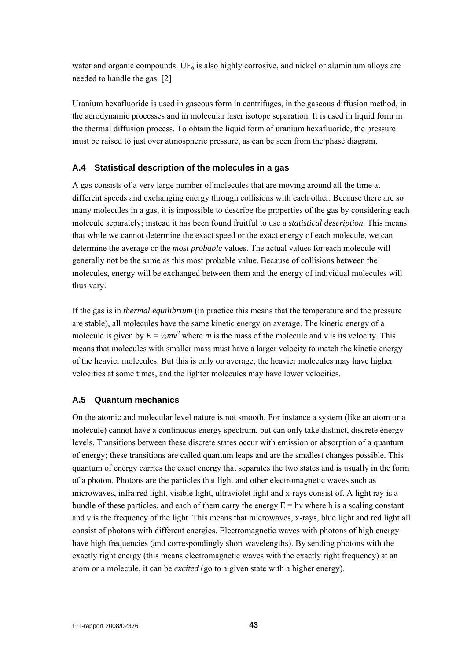<span id="page-42-0"></span>water and organic compounds. UF<sub>6</sub> is also highly corrosive, and nickel or aluminium alloys are needed to handle the gas. [2]

Uranium hexafluoride is used in gaseous form in centrifuges, in the gaseous diffusion method, in the aerodynamic processes and in molecular laser isotope separation. It is used in liquid form in the thermal diffusion process. To obtain the liquid form of uranium hexafluoride, the pressure must be raised to just over atmospheric pressure, as can be seen from the phase diagram.

#### <span id="page-42-1"></span>**A.4 Statistical description of the molecules in a gas**

A gas consists of a very large number of molecules that are moving around all the time at different speeds and exchanging energy through collisions with each other. Because there are so many molecules in a gas, it is impossible to describe the properties of the gas by considering each molecule separately; instead it has been found fruitful to use a *statistical description*. This means that while we cannot determine the exact speed or the exact energy of each molecule, we can determine the average or the *most probable* values. The actual values for each molecule will generally not be the same as this most probable value. Because of collisions between the molecules, energy will be exchanged between them and the energy of individual molecules will thus vary.

If the gas is in *thermal equilibrium* (in practice this means that the temperature and the pressure are stable), all molecules have the same kinetic energy on average. The kinetic energy of a molecule is given by  $E = \frac{1}{2}mv^2$  where *m* is the mass of the molecule and *v* is its velocity. This means that molecules with smaller mass must have a larger velocity to match the kinetic energy of the heavier molecules. But this is only on average; the heavier molecules may have higher velocities at some times, and the lighter molecules may have lower velocities.

#### <span id="page-42-2"></span>**A.5 Quantum mechanics**

On the atomic and molecular level nature is not smooth. For instance a system (like an atom or a molecule) cannot have a continuous energy spectrum, but can only take distinct, discrete energy levels. Transitions between these discrete states occur with emission or absorption of a quantum of energy; these transitions are called quantum leaps and are the smallest changes possible. This quantum of energy carries the exact energy that separates the two states and is usually in the form of a photon. Photons are the particles that light and other electromagnetic waves such as microwaves, infra red light, visible light, ultraviolet light and x-rays consist of. A light ray is a bundle of these particles, and each of them carry the energy  $E = hv$  where h is a scaling constant and ν is the frequency of the light. This means that microwaves, x-rays, blue light and red light all consist of photons with different energies. Electromagnetic waves with photons of high energy have high frequencies (and correspondingly short wavelengths). By sending photons with the exactly right energy (this means electromagnetic waves with the exactly right frequency) at an atom or a molecule, it can be *excited* (go to a given state with a higher energy).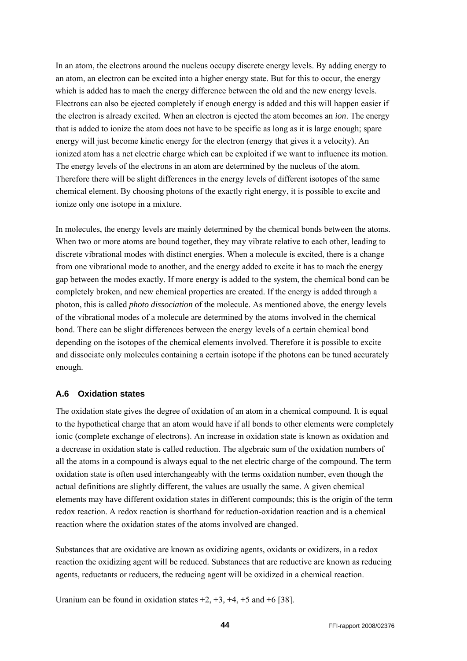<span id="page-43-0"></span>In an atom, the electrons around the nucleus occupy discrete energy levels. By adding energy to an atom, an electron can be excited into a higher energy state. But for this to occur, the energy which is added has to mach the energy difference between the old and the new energy levels. Electrons can also be ejected completely if enough energy is added and this will happen easier if the electron is already excited. When an electron is ejected the atom becomes an *ion*. The energy that is added to ionize the atom does not have to be specific as long as it is large enough; spare energy will just become kinetic energy for the electron (energy that gives it a velocity). An ionized atom has a net electric charge which can be exploited if we want to influence its motion. The energy levels of the electrons in an atom are determined by the nucleus of the atom. Therefore there will be slight differences in the energy levels of different isotopes of the same chemical element. By choosing photons of the exactly right energy, it is possible to excite and ionize only one isotope in a mixture.

In molecules, the energy levels are mainly determined by the chemical bonds between the atoms. When two or more atoms are bound together, they may vibrate relative to each other, leading to discrete vibrational modes with distinct energies. When a molecule is excited, there is a change from one vibrational mode to another, and the energy added to excite it has to mach the energy gap between the modes exactly. If more energy is added to the system, the chemical bond can be completely broken, and new chemical properties are created. If the energy is added through a photon, this is called *photo dissociation* of the molecule. As mentioned above, the energy levels of the vibrational modes of a molecule are determined by the atoms involved in the chemical bond. There can be slight differences between the energy levels of a certain chemical bond depending on the isotopes of the chemical elements involved. Therefore it is possible to excite and dissociate only molecules containing a certain isotope if the photons can be tuned accurately enough.

#### <span id="page-43-1"></span>**A.6 Oxidation states**

The oxidation state gives the degree of oxidation of an atom in a chemical compound. It is equal to the hypothetical charge that an atom would have if all bonds to other elements were completely ionic (complete exchange of electrons). An increase in oxidation state is known as oxidation and a decrease in oxidation state is called reduction. The algebraic sum of the oxidation numbers of all the atoms in a compound is always equal to the net electric charge of the compound. The term oxidation state is often used interchangeably with the terms oxidation number, even though the actual definitions are slightly different, the values are usually the same. A given chemical elements may have different oxidation states in different compounds; this is the origin of the term redox reaction. A redox reaction is shorthand for reduction-oxidation reaction and is a chemical reaction where the oxidation states of the atoms involved are changed.

Substances that are oxidative are known as oxidizing agents, oxidants or oxidizers, in a redox reaction the oxidizing agent will be reduced. Substances that are reductive are known as reducing agents, reductants or reducers, the reducing agent will be oxidized in a chemical reaction.

Uranium can be found in oxidation states  $+2$ ,  $+3$ ,  $+4$ ,  $+5$  and  $+6$  [38].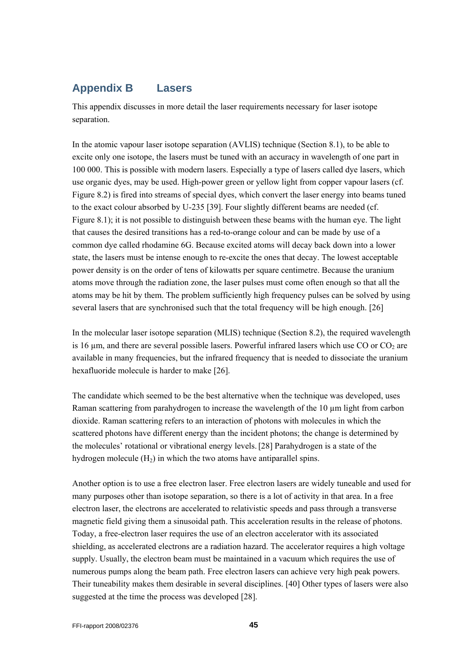# <span id="page-44-0"></span>**Appendix B Lasers**

This appendix discusses in more detail the laser requirements necessary for laser isotope separation.

In the atomic vapour laser isotope separation (AVLIS) technique (Section [8.1](#page-27-3)), to be able to excite only one isotope, the lasers must be tuned with an accuracy in wavelength of one part in 100 000. This is possible with modern lasers. Especially a type of lasers called dye lasers, which use organic dyes, may be used. High-power green or yellow light from copper vapour lasers (cf. [Figure 8.2](#page-32-0)) is fired into streams of special dyes, which convert the laser energy into beams tuned to the exact colour absorbed by U-235 [39]. Four slightly different beams are needed (cf. [Figure 8.1](#page-27-2)); it is not possible to distinguish between these beams with the human eye. The light that causes the desired transitions has a red-to-orange colour and can be made by use of a common dye called rhodamine 6G. Because excited atoms will decay back down into a lower state, the lasers must be intense enough to re-excite the ones that decay. The lowest acceptable power density is on the order of tens of kilowatts per square centimetre. Because the uranium atoms move through the radiation zone, the laser pulses must come often enough so that all the atoms may be hit by them. The problem sufficiently high frequency pulses can be solved by using several lasers that are synchronised such that the total frequency will be high enough. [26]

In the molecular laser isotope separation (MLIS) technique (Section [8.2\)](#page-29-4), the required wavelength is 16  $\mu$ m, and there are several possible lasers. Powerful infrared lasers which use CO or CO<sub>2</sub> are available in many frequencies, but the infrared frequency that is needed to dissociate the uranium hexafluoride molecule is harder to make [26].

The candidate which seemed to be the best alternative when the technique was developed, uses Raman scattering from parahydrogen to increase the wavelength of the 10 µm light from carbon dioxide. Raman scattering refers to an interaction of photons with molecules in which the scattered photons have different energy than the incident photons; the change is determined by the molecules' rotational or vibrational energy levels.[28] Parahydrogen is a state of the hydrogen molecule  $(H<sub>2</sub>)$  in which the two atoms have antiparallel spins.

<span id="page-44-1"></span>Another option is to use a free electron laser. Free electron lasers are widely tuneable and used for many purposes other than isotope separation, so there is a lot of activity in that area. In a free electron laser, the electrons are accelerated to relativistic speeds and pass through a transverse magnetic field giving them a sinusoidal path. This acceleration results in the release of photons. Today, a free-electron laser requires the use of an electron accelerator with its associated shielding, as accelerated electrons are a radiation hazard. The accelerator requires a high voltage supply. Usually, the electron beam must be maintained in a vacuum which requires the use of numerous pumps along the beam path. Free electron lasers can achieve very high peak powers. Their tuneability makes them desirable in several disciplines. [40] Other types of lasers were also suggested at the time the process was developed [28].